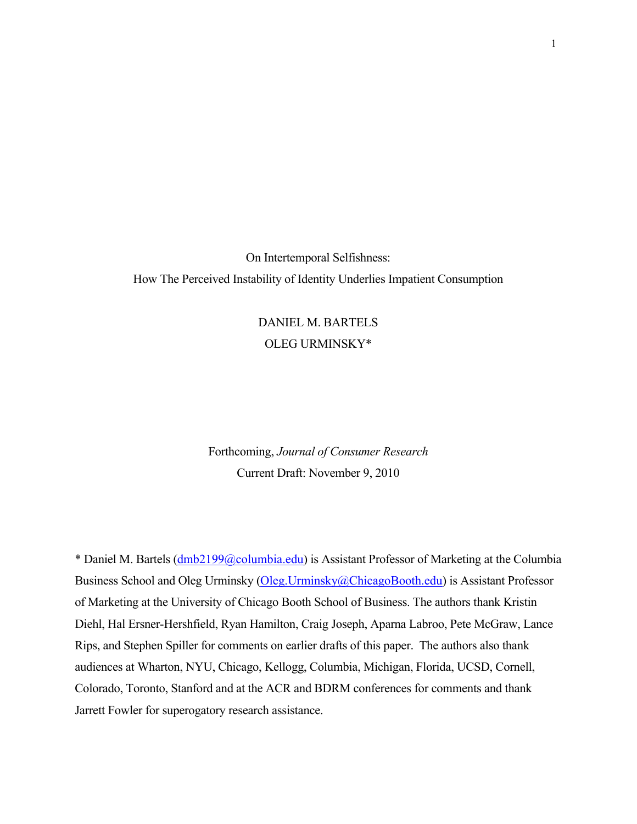On Intertemporal Selfishness: How The Perceived Instability of Identity Underlies Impatient Consumption

# DANIEL M. BARTELS OLEG URMINSKY\*

# Forthcoming, *Journal of Consumer Research* Current Draft: November 9, 2010

\* Daniel M. Bartels (dmb2199@columbia.edu) is Assistant Professor of Marketing at the Columbia Business School and Oleg Urminsky (Oleg.Urminsky@ChicagoBooth.edu) is Assistant Professor of Marketing at the University of Chicago Booth School of Business. The authors thank Kristin Diehl, Hal Ersner-Hershfield, Ryan Hamilton, Craig Joseph, Aparna Labroo, Pete McGraw, Lance Rips, and Stephen Spiller for comments on earlier drafts of this paper. The authors also thank audiences at Wharton, NYU, Chicago, Kellogg, Columbia, Michigan, Florida, UCSD, Cornell, Colorado, Toronto, Stanford and at the ACR and BDRM conferences for comments and thank Jarrett Fowler for superogatory research assistance.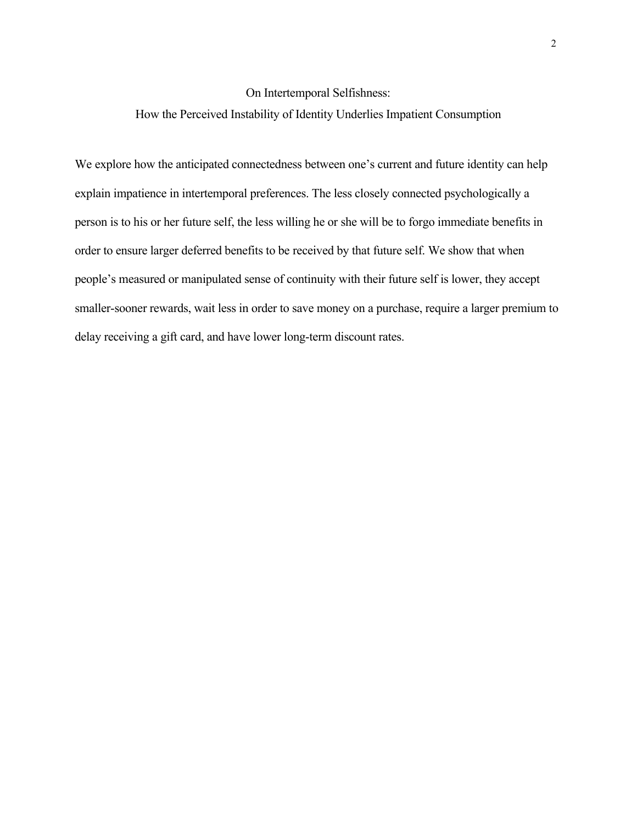## On Intertemporal Selfishness:

# How the Perceived Instability of Identity Underlies Impatient Consumption

We explore how the anticipated connectedness between one's current and future identity can help explain impatience in intertemporal preferences. The less closely connected psychologically a person is to his or her future self, the less willing he or she will be to forgo immediate benefits in order to ensure larger deferred benefits to be received by that future self. We show that when people's measured or manipulated sense of continuity with their future self is lower, they accept smaller-sooner rewards, wait less in order to save money on a purchase, require a larger premium to delay receiving a gift card, and have lower long-term discount rates.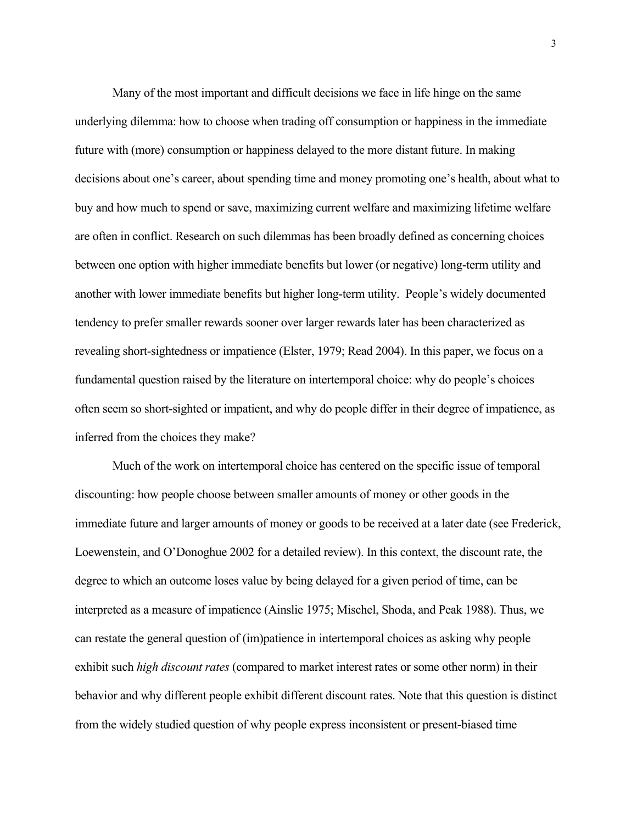Many of the most important and difficult decisions we face in life hinge on the same underlying dilemma: how to choose when trading off consumption or happiness in the immediate future with (more) consumption or happiness delayed to the more distant future. In making decisions about one's career, about spending time and money promoting one's health, about what to buy and how much to spend or save, maximizing current welfare and maximizing lifetime welfare are often in conflict. Research on such dilemmas has been broadly defined as concerning choices between one option with higher immediate benefits but lower (or negative) long-term utility and another with lower immediate benefits but higher long-term utility. People's widely documented tendency to prefer smaller rewards sooner over larger rewards later has been characterized as revealing short-sightedness or impatience (Elster, 1979; Read 2004). In this paper, we focus on a fundamental question raised by the literature on intertemporal choice: why do people's choices often seem so short-sighted or impatient, and why do people differ in their degree of impatience, as inferred from the choices they make?

Much of the work on intertemporal choice has centered on the specific issue of temporal discounting: how people choose between smaller amounts of money or other goods in the immediate future and larger amounts of money or goods to be received at a later date (see Frederick, Loewenstein, and O'Donoghue 2002 for a detailed review). In this context, the discount rate, the degree to which an outcome loses value by being delayed for a given period of time, can be interpreted as a measure of impatience (Ainslie 1975; Mischel, Shoda, and Peak 1988). Thus, we can restate the general question of (im)patience in intertemporal choices as asking why people exhibit such *high discount rates* (compared to market interest rates or some other norm) in their behavior and why different people exhibit different discount rates. Note that this question is distinct from the widely studied question of why people express inconsistent or present-biased time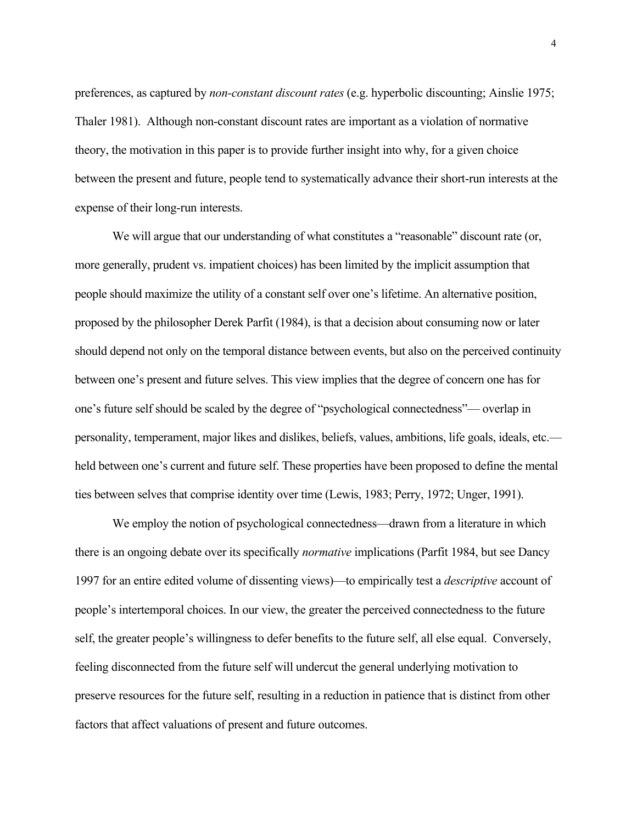preferences, as captured by *non-constant discount rates* (e.g. hyperbolic discounting; Ainslie 1975; Thaler 1981). Although non-constant discount rates are important as a violation of normative theory, the motivation in this paper is to provide further insight into why, for a given choice between the present and future, people tend to systematically advance their short-run interests at the expense of their long-run interests.

We will argue that our understanding of what constitutes a "reasonable" discount rate (or, more generally, prudent vs. impatient choices) has been limited by the implicit assumption that people should maximize the utility of a constant self over one's lifetime. An alternative position, proposed by the philosopher Derek Parfit (1984), is that a decision about consuming now or later should depend not only on the temporal distance between events, but also on the perceived continuity between one's present and future selves. This view implies that the degree of concern one has for one's future self should be scaled by the degree of "psychological connectedness"— overlap in personality, temperament, major likes and dislikes, beliefs, values, ambitions, life goals, ideals, etc. held between one's current and future self. These properties have been proposed to define the mental ties between selves that comprise identity over time (Lewis, 1983; Perry, 1972; Unger, 1991).

We employ the notion of psychological connectedness—drawn from a literature in which there is an ongoing debate over its specifically *normative* implications (Parfit 1984, but see Dancy 1997 for an entire edited volume of dissenting views)—to empirically test a *descriptive* account of people's intertemporal choices. In our view, the greater the perceived connectedness to the future self, the greater people's willingness to defer benefits to the future self, all else equal. Conversely, feeling disconnected from the future self will undercut the general underlying motivation to preserve resources for the future self, resulting in a reduction in patience that is distinct from other factors that affect valuations of present and future outcomes.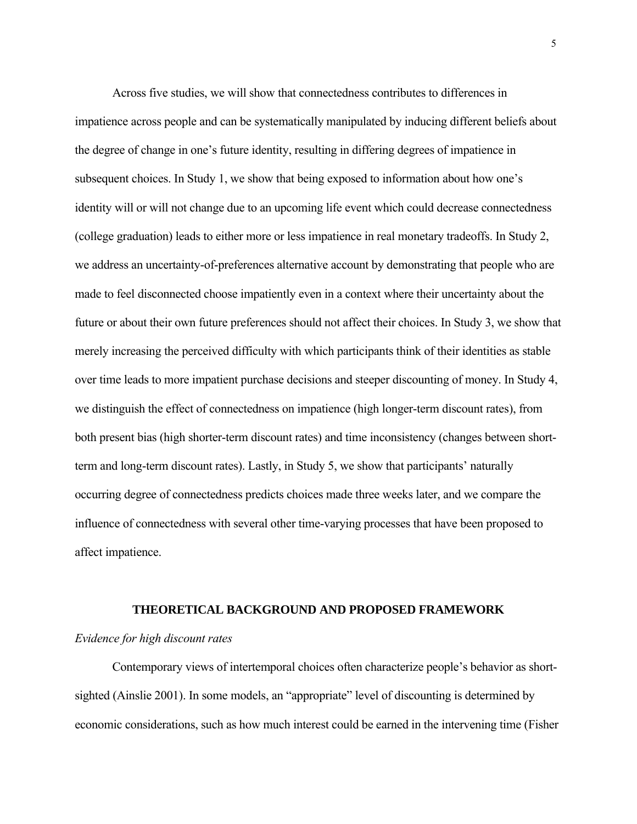Across five studies, we will show that connectedness contributes to differences in impatience across people and can be systematically manipulated by inducing different beliefs about the degree of change in one's future identity, resulting in differing degrees of impatience in subsequent choices. In Study 1, we show that being exposed to information about how one's identity will or will not change due to an upcoming life event which could decrease connectedness (college graduation) leads to either more or less impatience in real monetary tradeoffs. In Study 2, we address an uncertainty-of-preferences alternative account by demonstrating that people who are made to feel disconnected choose impatiently even in a context where their uncertainty about the future or about their own future preferences should not affect their choices. In Study 3, we show that merely increasing the perceived difficulty with which participants think of their identities as stable over time leads to more impatient purchase decisions and steeper discounting of money. In Study 4, we distinguish the effect of connectedness on impatience (high longer-term discount rates), from both present bias (high shorter-term discount rates) and time inconsistency (changes between shortterm and long-term discount rates). Lastly, in Study 5, we show that participants' naturally occurring degree of connectedness predicts choices made three weeks later, and we compare the influence of connectedness with several other time-varying processes that have been proposed to affect impatience.

#### **THEORETICAL BACKGROUND AND PROPOSED FRAMEWORK**

#### *Evidence for high discount rates*

Contemporary views of intertemporal choices often characterize people's behavior as shortsighted (Ainslie 2001). In some models, an "appropriate" level of discounting is determined by economic considerations, such as how much interest could be earned in the intervening time (Fisher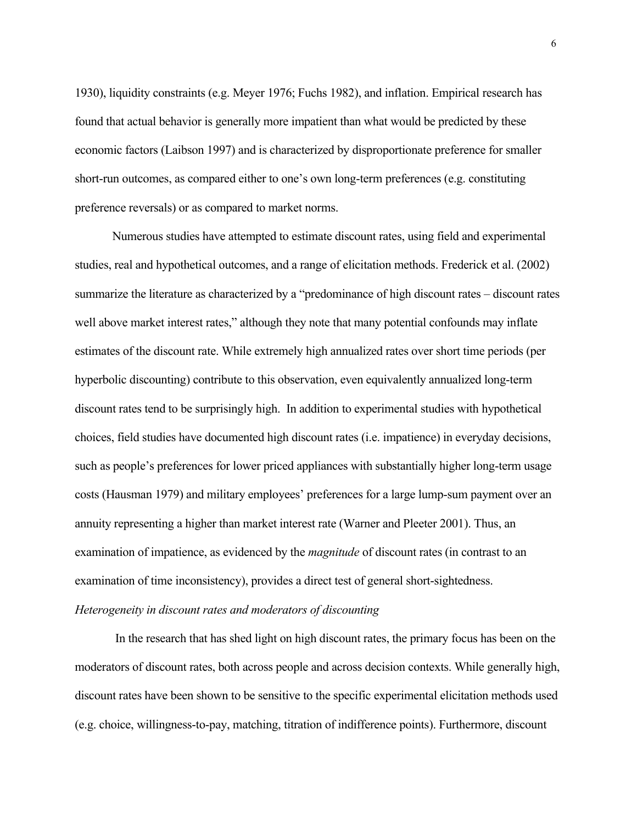1930), liquidity constraints (e.g. Meyer 1976; Fuchs 1982), and inflation. Empirical research has found that actual behavior is generally more impatient than what would be predicted by these economic factors (Laibson 1997) and is characterized by disproportionate preference for smaller short-run outcomes, as compared either to one's own long-term preferences (e.g. constituting preference reversals) or as compared to market norms.

Numerous studies have attempted to estimate discount rates, using field and experimental studies, real and hypothetical outcomes, and a range of elicitation methods. Frederick et al. (2002) summarize the literature as characterized by a "predominance of high discount rates – discount rates well above market interest rates," although they note that many potential confounds may inflate estimates of the discount rate. While extremely high annualized rates over short time periods (per hyperbolic discounting) contribute to this observation, even equivalently annualized long-term discount rates tend to be surprisingly high. In addition to experimental studies with hypothetical choices, field studies have documented high discount rates (i.e. impatience) in everyday decisions, such as people's preferences for lower priced appliances with substantially higher long-term usage costs (Hausman 1979) and military employees' preferences for a large lump-sum payment over an annuity representing a higher than market interest rate (Warner and Pleeter 2001). Thus, an examination of impatience, as evidenced by the *magnitude* of discount rates (in contrast to an examination of time inconsistency), provides a direct test of general short-sightedness. *Heterogeneity in discount rates and moderators of discounting* 

 In the research that has shed light on high discount rates, the primary focus has been on the moderators of discount rates, both across people and across decision contexts. While generally high, discount rates have been shown to be sensitive to the specific experimental elicitation methods used (e.g. choice, willingness-to-pay, matching, titration of indifference points). Furthermore, discount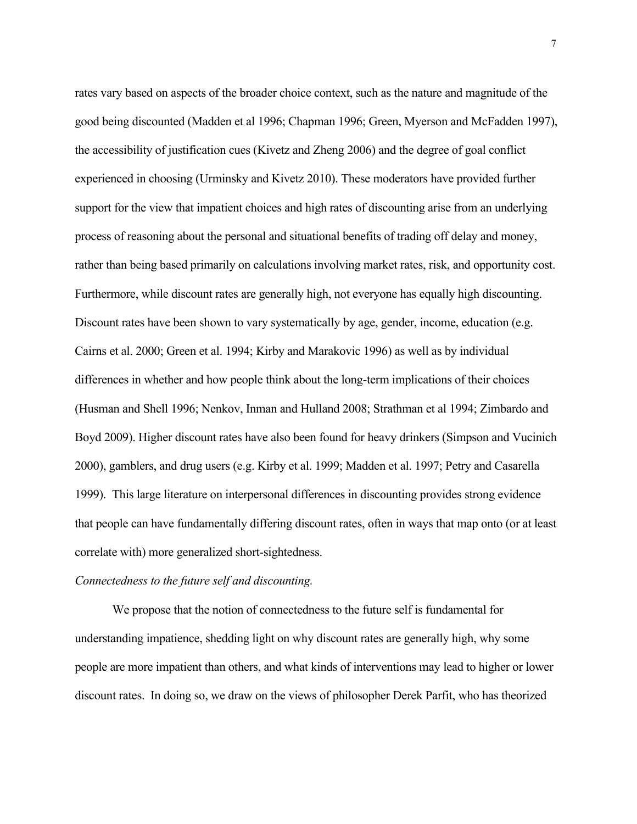rates vary based on aspects of the broader choice context, such as the nature and magnitude of the good being discounted (Madden et al 1996; Chapman 1996; Green, Myerson and McFadden 1997), the accessibility of justification cues (Kivetz and Zheng 2006) and the degree of goal conflict experienced in choosing (Urminsky and Kivetz 2010). These moderators have provided further support for the view that impatient choices and high rates of discounting arise from an underlying process of reasoning about the personal and situational benefits of trading off delay and money, rather than being based primarily on calculations involving market rates, risk, and opportunity cost. Furthermore, while discount rates are generally high, not everyone has equally high discounting. Discount rates have been shown to vary systematically by age, gender, income, education (e.g. Cairns et al. 2000; Green et al. 1994; Kirby and Marakovic 1996) as well as by individual differences in whether and how people think about the long-term implications of their choices (Husman and Shell 1996; Nenkov, Inman and Hulland 2008; Strathman et al 1994; Zimbardo and Boyd 2009). Higher discount rates have also been found for heavy drinkers (Simpson and Vucinich 2000), gamblers, and drug users (e.g. Kirby et al. 1999; Madden et al. 1997; Petry and Casarella 1999). This large literature on interpersonal differences in discounting provides strong evidence that people can have fundamentally differing discount rates, often in ways that map onto (or at least correlate with) more generalized short-sightedness.

# *Connectedness to the future self and discounting.*

We propose that the notion of connectedness to the future self is fundamental for understanding impatience, shedding light on why discount rates are generally high, why some people are more impatient than others, and what kinds of interventions may lead to higher or lower discount rates. In doing so, we draw on the views of philosopher Derek Parfit, who has theorized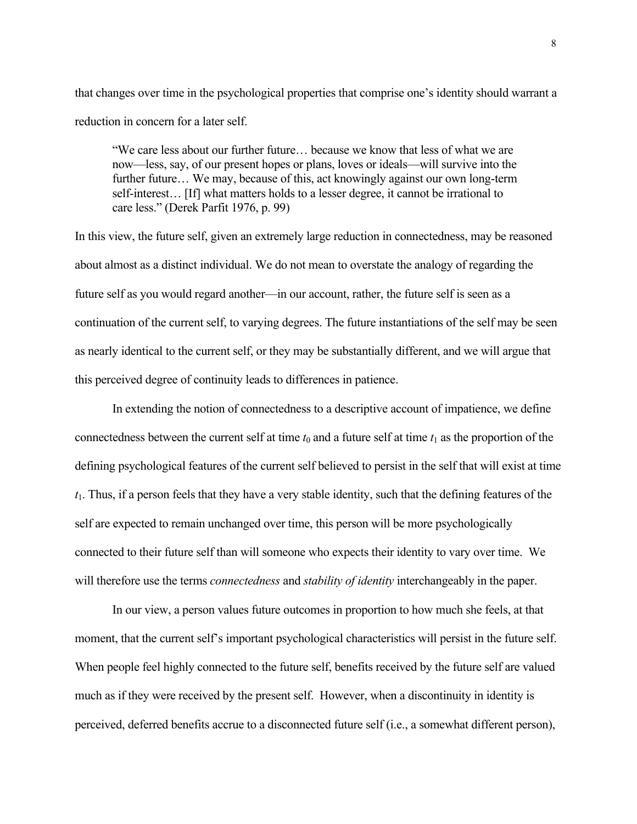that changes over time in the psychological properties that comprise one's identity should warrant a reduction in concern for a later self.

"We care less about our further future… because we know that less of what we are now—less, say, of our present hopes or plans, loves or ideals—will survive into the further future… We may, because of this, act knowingly against our own long-term self-interest… [If] what matters holds to a lesser degree, it cannot be irrational to care less." (Derek Parfit 1976, p. 99)

In this view, the future self, given an extremely large reduction in connectedness, may be reasoned about almost as a distinct individual. We do not mean to overstate the analogy of regarding the future self as you would regard another—in our account, rather, the future self is seen as a continuation of the current self, to varying degrees. The future instantiations of the self may be seen as nearly identical to the current self, or they may be substantially different, and we will argue that this perceived degree of continuity leads to differences in patience.

In extending the notion of connectedness to a descriptive account of impatience, we define connectedness between the current self at time  $t_0$  and a future self at time  $t_1$  as the proportion of the defining psychological features of the current self believed to persist in the self that will exist at time *t*1. Thus, if a person feels that they have a very stable identity, such that the defining features of the self are expected to remain unchanged over time, this person will be more psychologically connected to their future self than will someone who expects their identity to vary over time. We will therefore use the terms *connectedness* and *stability of identity* interchangeably in the paper.

In our view, a person values future outcomes in proportion to how much she feels, at that moment, that the current self's important psychological characteristics will persist in the future self. When people feel highly connected to the future self, benefits received by the future self are valued much as if they were received by the present self. However, when a discontinuity in identity is perceived, deferred benefits accrue to a disconnected future self (i.e., a somewhat different person),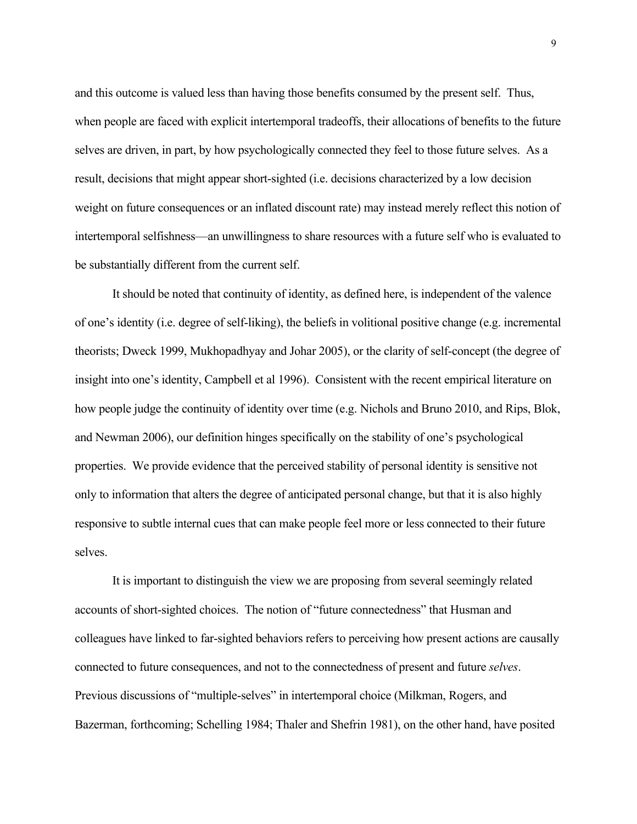and this outcome is valued less than having those benefits consumed by the present self. Thus, when people are faced with explicit intertemporal tradeoffs, their allocations of benefits to the future selves are driven, in part, by how psychologically connected they feel to those future selves. As a result, decisions that might appear short-sighted (i.e. decisions characterized by a low decision weight on future consequences or an inflated discount rate) may instead merely reflect this notion of intertemporal selfishness—an unwillingness to share resources with a future self who is evaluated to be substantially different from the current self.

It should be noted that continuity of identity, as defined here, is independent of the valence of one's identity (i.e. degree of self-liking), the beliefs in volitional positive change (e.g. incremental theorists; Dweck 1999, Mukhopadhyay and Johar 2005), or the clarity of self-concept (the degree of insight into one's identity, Campbell et al 1996). Consistent with the recent empirical literature on how people judge the continuity of identity over time (e.g. Nichols and Bruno 2010, and Rips, Blok, and Newman 2006), our definition hinges specifically on the stability of one's psychological properties. We provide evidence that the perceived stability of personal identity is sensitive not only to information that alters the degree of anticipated personal change, but that it is also highly responsive to subtle internal cues that can make people feel more or less connected to their future selves.

It is important to distinguish the view we are proposing from several seemingly related accounts of short-sighted choices. The notion of "future connectedness" that Husman and colleagues have linked to far-sighted behaviors refers to perceiving how present actions are causally connected to future consequences, and not to the connectedness of present and future *selves*. Previous discussions of "multiple-selves" in intertemporal choice (Milkman, Rogers, and Bazerman, forthcoming; Schelling 1984; Thaler and Shefrin 1981), on the other hand, have posited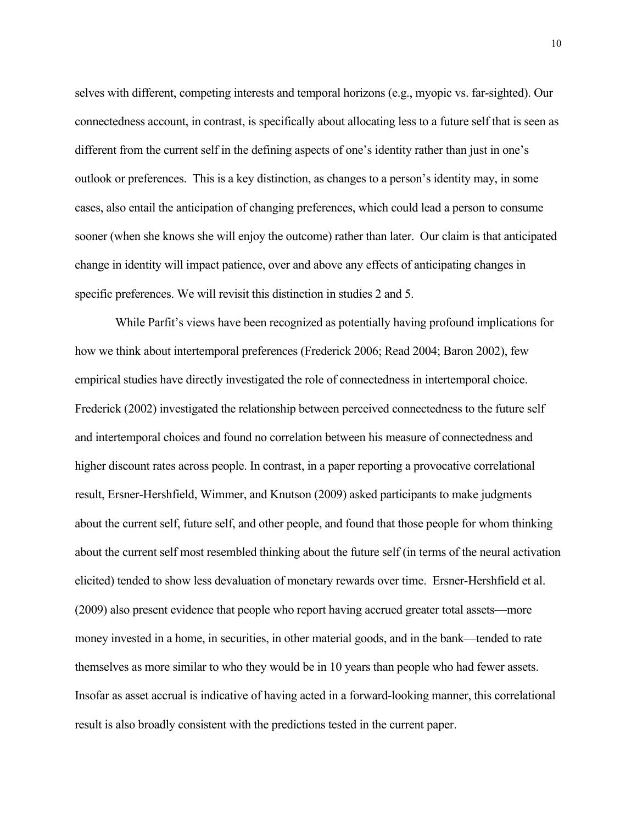selves with different, competing interests and temporal horizons (e.g., myopic vs. far-sighted). Our connectedness account, in contrast, is specifically about allocating less to a future self that is seen as different from the current self in the defining aspects of one's identity rather than just in one's outlook or preferences. This is a key distinction, as changes to a person's identity may, in some cases, also entail the anticipation of changing preferences, which could lead a person to consume sooner (when she knows she will enjoy the outcome) rather than later. Our claim is that anticipated change in identity will impact patience, over and above any effects of anticipating changes in specific preferences. We will revisit this distinction in studies 2 and 5.

 While Parfit's views have been recognized as potentially having profound implications for how we think about intertemporal preferences (Frederick 2006; Read 2004; Baron 2002), few empirical studies have directly investigated the role of connectedness in intertemporal choice. Frederick (2002) investigated the relationship between perceived connectedness to the future self and intertemporal choices and found no correlation between his measure of connectedness and higher discount rates across people. In contrast, in a paper reporting a provocative correlational result, Ersner-Hershfield, Wimmer, and Knutson (2009) asked participants to make judgments about the current self, future self, and other people, and found that those people for whom thinking about the current self most resembled thinking about the future self (in terms of the neural activation elicited) tended to show less devaluation of monetary rewards over time. Ersner-Hershfield et al. (2009) also present evidence that people who report having accrued greater total assets—more money invested in a home, in securities, in other material goods, and in the bank—tended to rate themselves as more similar to who they would be in 10 years than people who had fewer assets. Insofar as asset accrual is indicative of having acted in a forward-looking manner, this correlational result is also broadly consistent with the predictions tested in the current paper.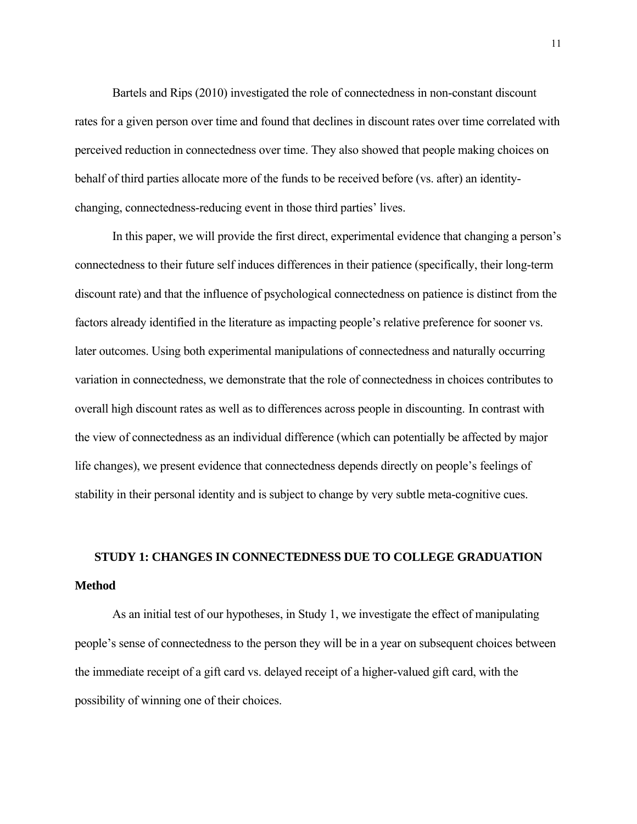Bartels and Rips (2010) investigated the role of connectedness in non-constant discount rates for a given person over time and found that declines in discount rates over time correlated with perceived reduction in connectedness over time. They also showed that people making choices on behalf of third parties allocate more of the funds to be received before (vs. after) an identitychanging, connectedness-reducing event in those third parties' lives.

In this paper, we will provide the first direct, experimental evidence that changing a person's connectedness to their future self induces differences in their patience (specifically, their long-term discount rate) and that the influence of psychological connectedness on patience is distinct from the factors already identified in the literature as impacting people's relative preference for sooner vs. later outcomes. Using both experimental manipulations of connectedness and naturally occurring variation in connectedness, we demonstrate that the role of connectedness in choices contributes to overall high discount rates as well as to differences across people in discounting. In contrast with the view of connectedness as an individual difference (which can potentially be affected by major life changes), we present evidence that connectedness depends directly on people's feelings of stability in their personal identity and is subject to change by very subtle meta-cognitive cues.

# **STUDY 1: CHANGES IN CONNECTEDNESS DUE TO COLLEGE GRADUATION Method**

As an initial test of our hypotheses, in Study 1, we investigate the effect of manipulating people's sense of connectedness to the person they will be in a year on subsequent choices between the immediate receipt of a gift card vs. delayed receipt of a higher-valued gift card, with the possibility of winning one of their choices.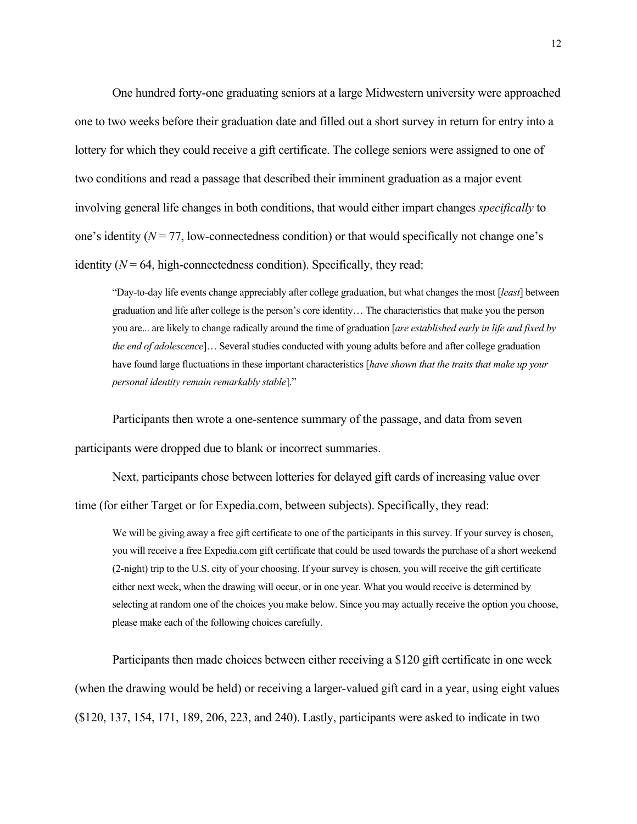One hundred forty-one graduating seniors at a large Midwestern university were approached one to two weeks before their graduation date and filled out a short survey in return for entry into a lottery for which they could receive a gift certificate. The college seniors were assigned to one of two conditions and read a passage that described their imminent graduation as a major event involving general life changes in both conditions, that would either impart changes *specifically* to one's identity  $(N = 77$ , low-connectedness condition) or that would specifically not change one's identity  $(N = 64$ , high-connectedness condition). Specifically, they read:

"Day-to-day life events change appreciably after college graduation, but what changes the most [*least*] between graduation and life after college is the person's core identity… The characteristics that make you the person you are... are likely to change radically around the time of graduation [*are established early in life and fixed by the end of adolescence*]… Several studies conducted with young adults before and after college graduation have found large fluctuations in these important characteristics [*have shown that the traits that make up your personal identity remain remarkably stable*]."

Participants then wrote a one-sentence summary of the passage, and data from seven participants were dropped due to blank or incorrect summaries.

Next, participants chose between lotteries for delayed gift cards of increasing value over time (for either Target or for Expedia.com, between subjects). Specifically, they read:

We will be giving away a free gift certificate to one of the participants in this survey. If your survey is chosen, you will receive a free Expedia.com gift certificate that could be used towards the purchase of a short weekend (2-night) trip to the U.S. city of your choosing. If your survey is chosen, you will receive the gift certificate either next week, when the drawing will occur, or in one year. What you would receive is determined by selecting at random one of the choices you make below. Since you may actually receive the option you choose, please make each of the following choices carefully.

Participants then made choices between either receiving a \$120 gift certificate in one week (when the drawing would be held) or receiving a larger-valued gift card in a year, using eight values (\$120, 137, 154, 171, 189, 206, 223, and 240). Lastly, participants were asked to indicate in two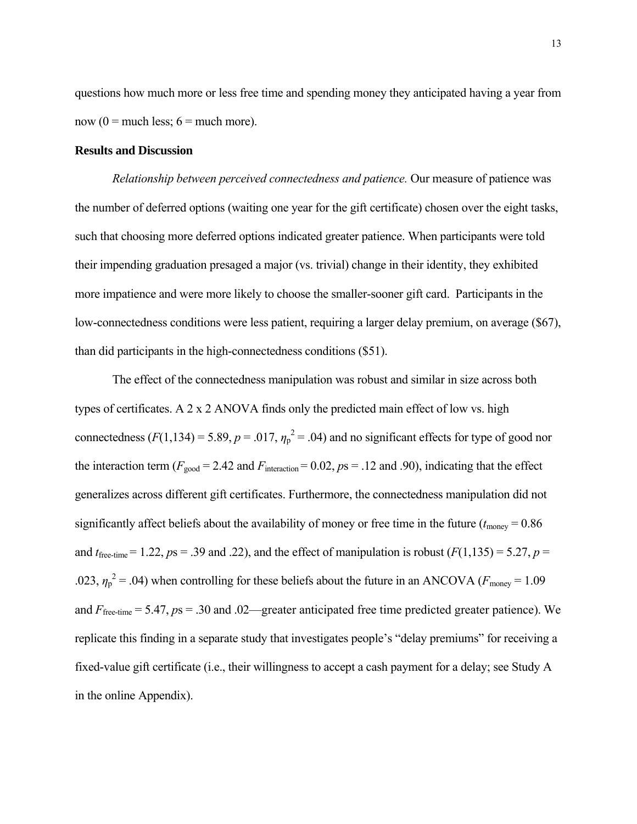questions how much more or less free time and spending money they anticipated having a year from now  $(0 =$  much less;  $6 =$  much more).

## **Results and Discussion**

*Relationship between perceived connectedness and patience.* Our measure of patience was the number of deferred options (waiting one year for the gift certificate) chosen over the eight tasks, such that choosing more deferred options indicated greater patience. When participants were told their impending graduation presaged a major (vs. trivial) change in their identity, they exhibited more impatience and were more likely to choose the smaller-sooner gift card. Participants in the low-connectedness conditions were less patient, requiring a larger delay premium, on average (\$67), than did participants in the high-connectedness conditions (\$51).

The effect of the connectedness manipulation was robust and similar in size across both types of certificates. A 2 x 2 ANOVA finds only the predicted main effect of low vs. high connectedness  $(F(1,134) = 5.89, p = .017, \eta_p^2 = .04)$  and no significant effects for type of good nor the interaction term ( $F_{good} = 2.42$  and  $F_{interaction} = 0.02$ ,  $ps = .12$  and .90), indicating that the effect generalizes across different gift certificates. Furthermore, the connectedness manipulation did not significantly affect beliefs about the availability of money or free time in the future ( $t_{\text{money}} = 0.86$ ) and  $t_{\text{free-time}} = 1.22$ ,  $ps = .39$  and .22), and the effect of manipulation is robust  $(F(1,135) = 5.27, p =$ .023,  $\eta_p^2$  = .04) when controlling for these beliefs about the future in an ANCOVA ( $F_{\text{money}}$  = 1.09 and  $F_{\text{free-time}} = 5.47$ ,  $p_s = .30$  and .02—greater anticipated free time predicted greater patience). We replicate this finding in a separate study that investigates people's "delay premiums" for receiving a fixed-value gift certificate (i.e., their willingness to accept a cash payment for a delay; see Study A in the online Appendix).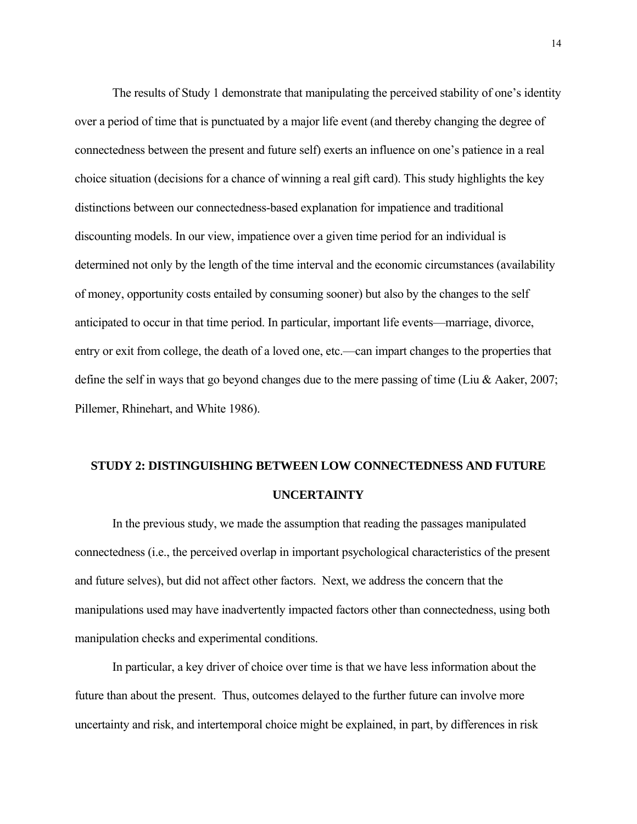The results of Study 1 demonstrate that manipulating the perceived stability of one's identity over a period of time that is punctuated by a major life event (and thereby changing the degree of connectedness between the present and future self) exerts an influence on one's patience in a real choice situation (decisions for a chance of winning a real gift card). This study highlights the key distinctions between our connectedness-based explanation for impatience and traditional discounting models. In our view, impatience over a given time period for an individual is determined not only by the length of the time interval and the economic circumstances (availability of money, opportunity costs entailed by consuming sooner) but also by the changes to the self anticipated to occur in that time period. In particular, important life events—marriage, divorce, entry or exit from college, the death of a loved one, etc.—can impart changes to the properties that define the self in ways that go beyond changes due to the mere passing of time (Liu & Aaker, 2007; Pillemer, Rhinehart, and White 1986).

# **STUDY 2: DISTINGUISHING BETWEEN LOW CONNECTEDNESS AND FUTURE UNCERTAINTY**

In the previous study, we made the assumption that reading the passages manipulated connectedness (i.e., the perceived overlap in important psychological characteristics of the present and future selves), but did not affect other factors. Next, we address the concern that the manipulations used may have inadvertently impacted factors other than connectedness, using both manipulation checks and experimental conditions.

In particular, a key driver of choice over time is that we have less information about the future than about the present. Thus, outcomes delayed to the further future can involve more uncertainty and risk, and intertemporal choice might be explained, in part, by differences in risk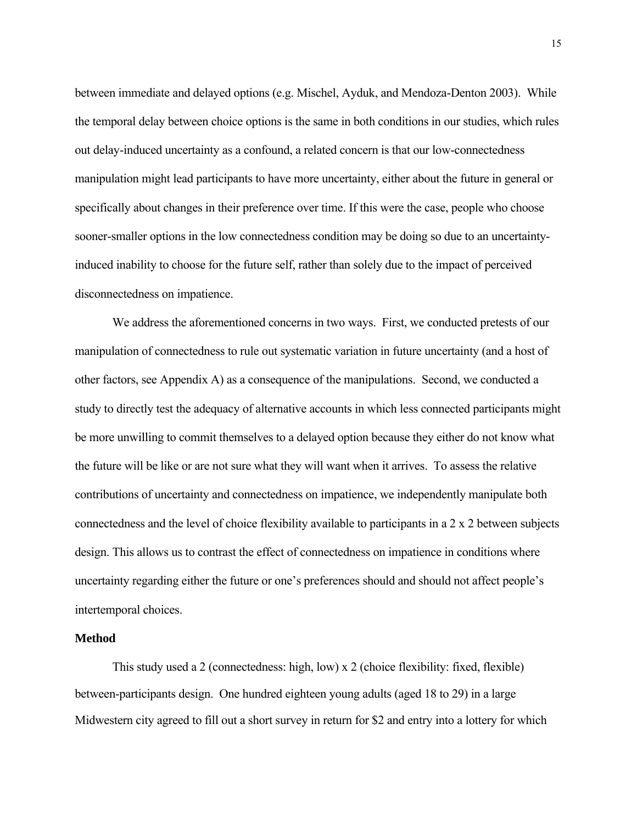between immediate and delayed options (e.g. Mischel, Ayduk, and Mendoza-Denton 2003). While the temporal delay between choice options is the same in both conditions in our studies, which rules out delay-induced uncertainty as a confound, a related concern is that our low-connectedness manipulation might lead participants to have more uncertainty, either about the future in general or specifically about changes in their preference over time. If this were the case, people who choose sooner-smaller options in the low connectedness condition may be doing so due to an uncertaintyinduced inability to choose for the future self, rather than solely due to the impact of perceived disconnectedness on impatience.

We address the aforementioned concerns in two ways. First, we conducted pretests of our manipulation of connectedness to rule out systematic variation in future uncertainty (and a host of other factors, see Appendix A) as a consequence of the manipulations. Second, we conducted a study to directly test the adequacy of alternative accounts in which less connected participants might be more unwilling to commit themselves to a delayed option because they either do not know what the future will be like or are not sure what they will want when it arrives. To assess the relative contributions of uncertainty and connectedness on impatience, we independently manipulate both connectedness and the level of choice flexibility available to participants in a 2 x 2 between subjects design. This allows us to contrast the effect of connectedness on impatience in conditions where uncertainty regarding either the future or one's preferences should and should not affect people's intertemporal choices.

#### **Method**

This study used a 2 (connectedness: high, low) x 2 (choice flexibility: fixed, flexible) between-participants design. One hundred eighteen young adults (aged 18 to 29) in a large Midwestern city agreed to fill out a short survey in return for \$2 and entry into a lottery for which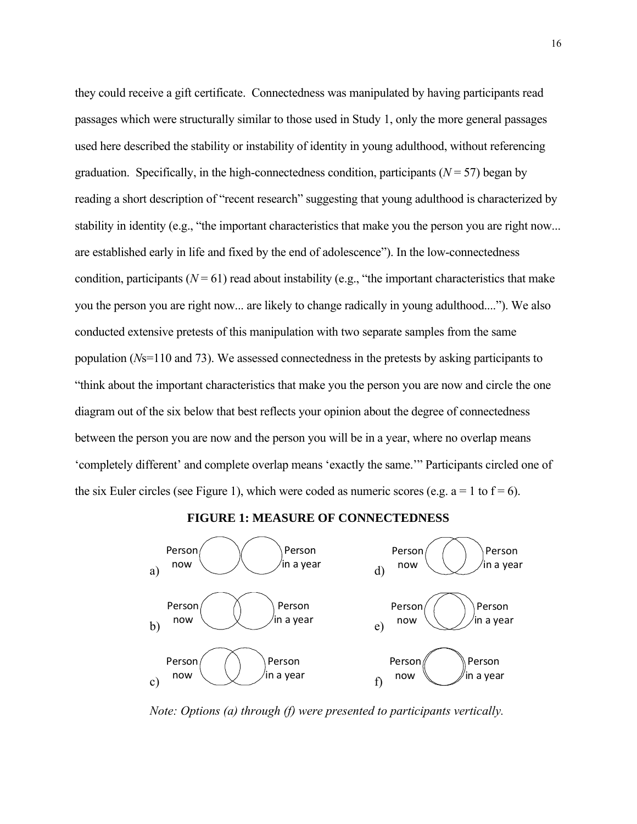they could receive a gift certificate. Connectedness was manipulated by having participants read passages which were structurally similar to those used in Study 1, only the more general passages used here described the stability or instability of identity in young adulthood, without referencing graduation. Specifically, in the high-connectedness condition, participants  $(N = 57)$  began by reading a short description of "recent research" suggesting that young adulthood is characterized by stability in identity (e.g., "the important characteristics that make you the person you are right now... are established early in life and fixed by the end of adolescence"). In the low-connectedness condition, participants  $(N = 61)$  read about instability (e.g., "the important characteristics that make you the person you are right now... are likely to change radically in young adulthood...."). We also conducted extensive pretests of this manipulation with two separate samples from the same population (*N*s=110 and 73). We assessed connectedness in the pretests by asking participants to "think about the important characteristics that make you the person you are now and circle the one diagram out of the six below that best reflects your opinion about the degree of connectedness between the person you are now and the person you will be in a year, where no overlap means 'completely different' and complete overlap means 'exactly the same.'" Participants circled one of the six Euler circles (see Figure 1), which were coded as numeric scores (e.g.  $a = 1$  to  $f = 6$ ).



# **FIGURE 1: MEASURE OF CONNECTEDNESS**

*Note: Options (a) through (f) were presented to participants vertically.*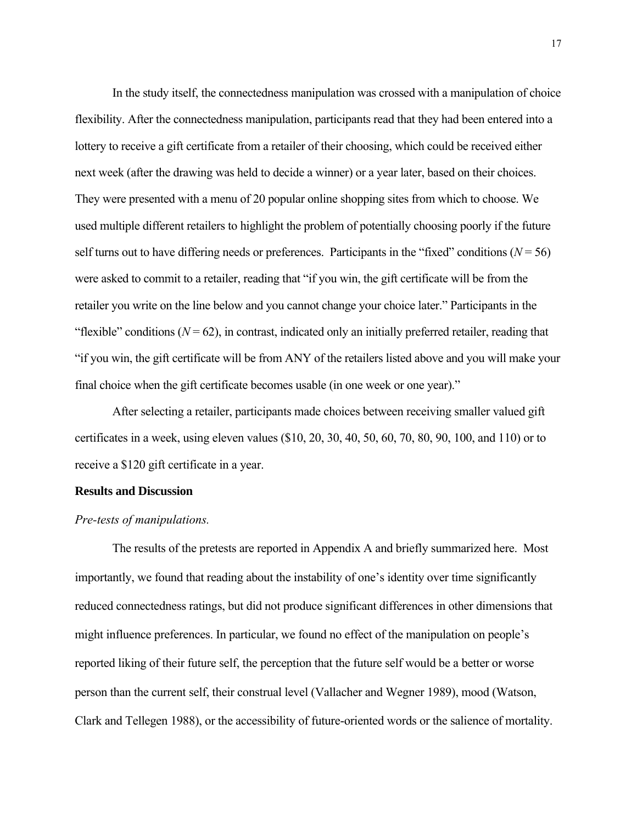In the study itself, the connectedness manipulation was crossed with a manipulation of choice flexibility. After the connectedness manipulation, participants read that they had been entered into a lottery to receive a gift certificate from a retailer of their choosing, which could be received either next week (after the drawing was held to decide a winner) or a year later, based on their choices. They were presented with a menu of 20 popular online shopping sites from which to choose. We used multiple different retailers to highlight the problem of potentially choosing poorly if the future self turns out to have differing needs or preferences. Participants in the "fixed" conditions ( $N = 56$ ) were asked to commit to a retailer, reading that "if you win, the gift certificate will be from the retailer you write on the line below and you cannot change your choice later." Participants in the "flexible" conditions  $(N = 62)$ , in contrast, indicated only an initially preferred retailer, reading that "if you win, the gift certificate will be from ANY of the retailers listed above and you will make your final choice when the gift certificate becomes usable (in one week or one year)."

After selecting a retailer, participants made choices between receiving smaller valued gift certificates in a week, using eleven values (\$10, 20, 30, 40, 50, 60, 70, 80, 90, 100, and 110) or to receive a \$120 gift certificate in a year.

#### **Results and Discussion**

#### *Pre-tests of manipulations.*

The results of the pretests are reported in Appendix A and briefly summarized here. Most importantly, we found that reading about the instability of one's identity over time significantly reduced connectedness ratings, but did not produce significant differences in other dimensions that might influence preferences. In particular, we found no effect of the manipulation on people's reported liking of their future self, the perception that the future self would be a better or worse person than the current self, their construal level (Vallacher and Wegner 1989), mood (Watson, Clark and Tellegen 1988), or the accessibility of future-oriented words or the salience of mortality.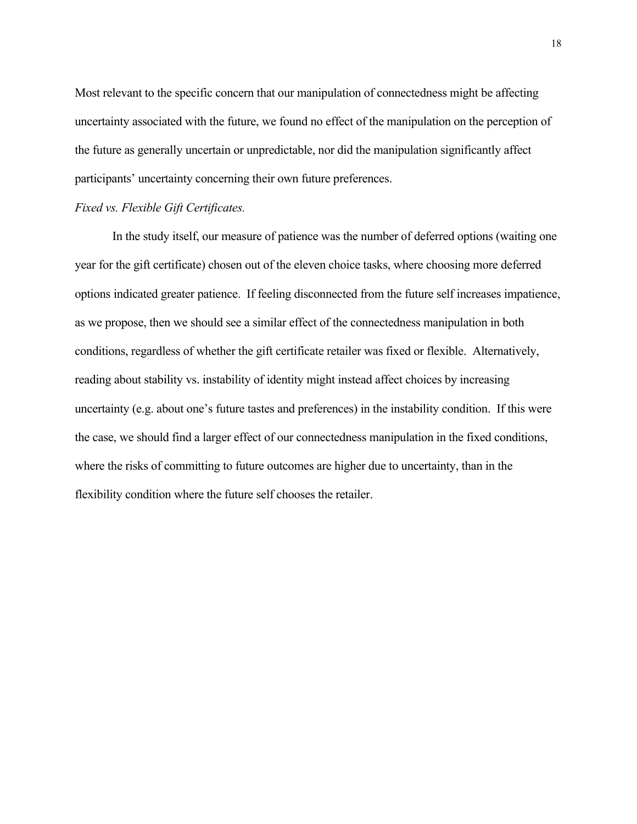Most relevant to the specific concern that our manipulation of connectedness might be affecting uncertainty associated with the future, we found no effect of the manipulation on the perception of the future as generally uncertain or unpredictable, nor did the manipulation significantly affect participants' uncertainty concerning their own future preferences.

#### *Fixed vs. Flexible Gift Certificates.*

In the study itself, our measure of patience was the number of deferred options (waiting one year for the gift certificate) chosen out of the eleven choice tasks, where choosing more deferred options indicated greater patience. If feeling disconnected from the future self increases impatience, as we propose, then we should see a similar effect of the connectedness manipulation in both conditions, regardless of whether the gift certificate retailer was fixed or flexible. Alternatively, reading about stability vs. instability of identity might instead affect choices by increasing uncertainty (e.g. about one's future tastes and preferences) in the instability condition. If this were the case, we should find a larger effect of our connectedness manipulation in the fixed conditions, where the risks of committing to future outcomes are higher due to uncertainty, than in the flexibility condition where the future self chooses the retailer.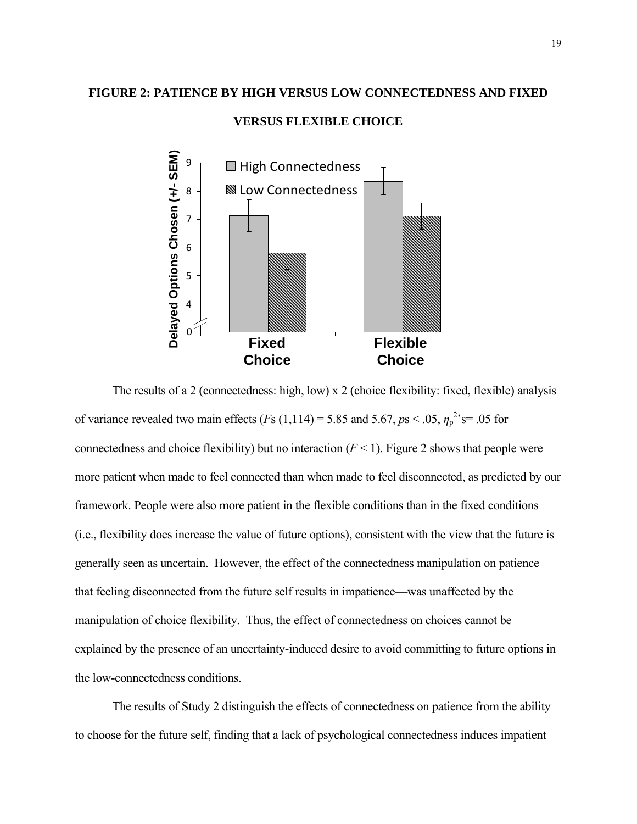#### **VERSUS FLEXIBLE CHOICE**



The results of a 2 (connectedness: high, low) x 2 (choice flexibility: fixed, flexible) analysis of variance revealed two main effects (*F*s (1,114) = 5.85 and 5.67,  $ps < .05$ ,  $\eta_p^2$ 's= .05 for connectedness and choice flexibility) but no interaction  $(F<1)$ . Figure 2 shows that people were more patient when made to feel connected than when made to feel disconnected, as predicted by our framework. People were also more patient in the flexible conditions than in the fixed conditions (i.e., flexibility does increase the value of future options), consistent with the view that the future is generally seen as uncertain. However, the effect of the connectedness manipulation on patience that feeling disconnected from the future self results in impatience—was unaffected by the manipulation of choice flexibility. Thus, the effect of connectedness on choices cannot be explained by the presence of an uncertainty-induced desire to avoid committing to future options in the low-connectedness conditions.

The results of Study 2 distinguish the effects of connectedness on patience from the ability to choose for the future self, finding that a lack of psychological connectedness induces impatient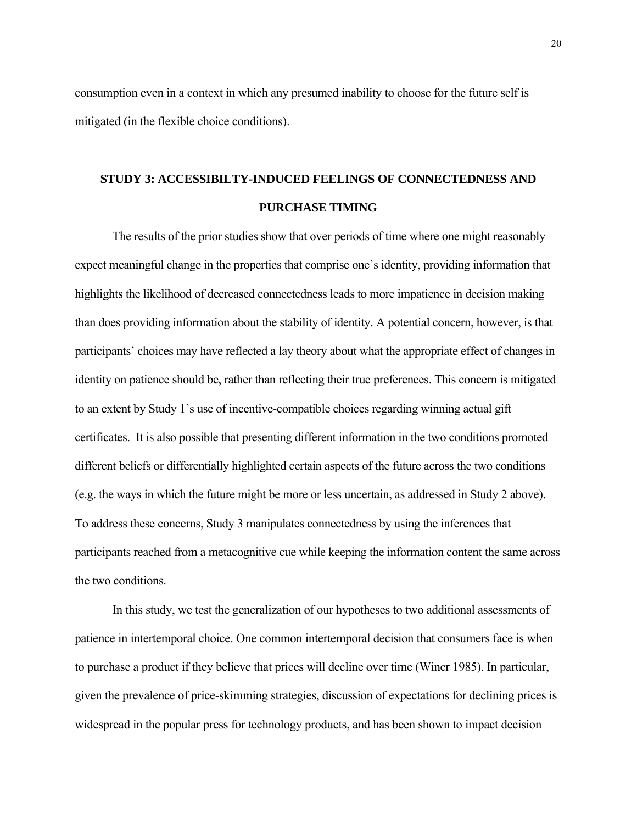consumption even in a context in which any presumed inability to choose for the future self is mitigated (in the flexible choice conditions).

# **STUDY 3: ACCESSIBILTY-INDUCED FEELINGS OF CONNECTEDNESS AND PURCHASE TIMING**

The results of the prior studies show that over periods of time where one might reasonably expect meaningful change in the properties that comprise one's identity, providing information that highlights the likelihood of decreased connectedness leads to more impatience in decision making than does providing information about the stability of identity. A potential concern, however, is that participants' choices may have reflected a lay theory about what the appropriate effect of changes in identity on patience should be, rather than reflecting their true preferences. This concern is mitigated to an extent by Study 1's use of incentive-compatible choices regarding winning actual gift certificates. It is also possible that presenting different information in the two conditions promoted different beliefs or differentially highlighted certain aspects of the future across the two conditions (e.g. the ways in which the future might be more or less uncertain, as addressed in Study 2 above). To address these concerns, Study 3 manipulates connectedness by using the inferences that participants reached from a metacognitive cue while keeping the information content the same across the two conditions.

In this study, we test the generalization of our hypotheses to two additional assessments of patience in intertemporal choice. One common intertemporal decision that consumers face is when to purchase a product if they believe that prices will decline over time (Winer 1985). In particular, given the prevalence of price-skimming strategies, discussion of expectations for declining prices is widespread in the popular press for technology products, and has been shown to impact decision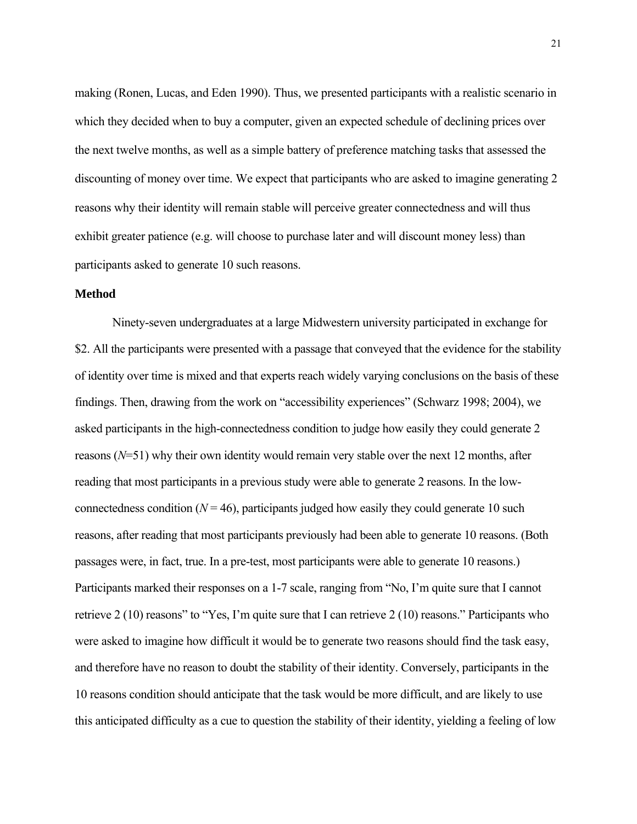making (Ronen, Lucas, and Eden 1990). Thus, we presented participants with a realistic scenario in which they decided when to buy a computer, given an expected schedule of declining prices over the next twelve months, as well as a simple battery of preference matching tasks that assessed the discounting of money over time. We expect that participants who are asked to imagine generating 2 reasons why their identity will remain stable will perceive greater connectedness and will thus exhibit greater patience (e.g. will choose to purchase later and will discount money less) than participants asked to generate 10 such reasons.

#### **Method**

Ninety-seven undergraduates at a large Midwestern university participated in exchange for \$2. All the participants were presented with a passage that conveyed that the evidence for the stability of identity over time is mixed and that experts reach widely varying conclusions on the basis of these findings. Then, drawing from the work on "accessibility experiences" (Schwarz 1998; 2004), we asked participants in the high-connectedness condition to judge how easily they could generate 2 reasons (*N*=51) why their own identity would remain very stable over the next 12 months, after reading that most participants in a previous study were able to generate 2 reasons. In the lowconnectedness condition  $(N = 46)$ , participants judged how easily they could generate 10 such reasons, after reading that most participants previously had been able to generate 10 reasons. (Both passages were, in fact, true. In a pre-test, most participants were able to generate 10 reasons.) Participants marked their responses on a 1-7 scale, ranging from "No, I'm quite sure that I cannot retrieve 2 (10) reasons" to "Yes, I'm quite sure that I can retrieve 2 (10) reasons." Participants who were asked to imagine how difficult it would be to generate two reasons should find the task easy, and therefore have no reason to doubt the stability of their identity. Conversely, participants in the 10 reasons condition should anticipate that the task would be more difficult, and are likely to use this anticipated difficulty as a cue to question the stability of their identity, yielding a feeling of low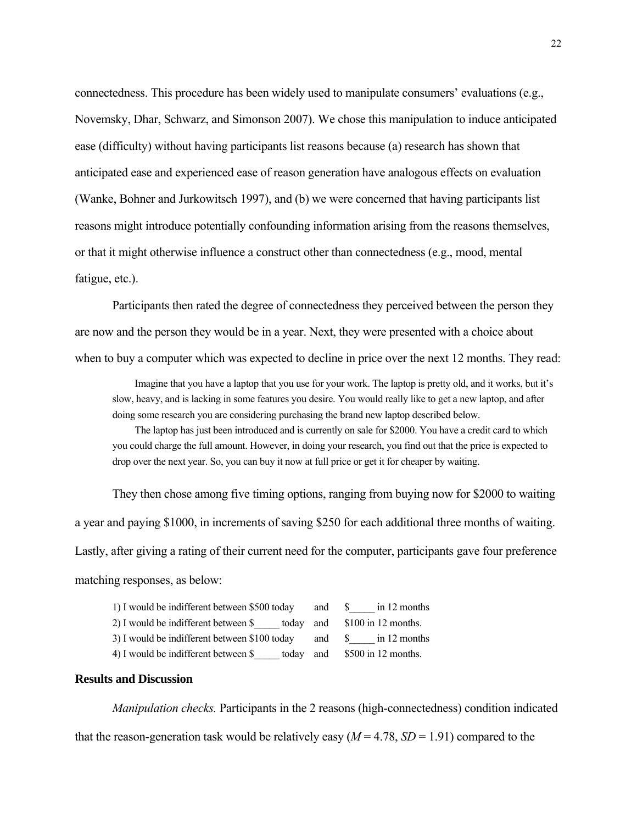connectedness. This procedure has been widely used to manipulate consumers' evaluations (e.g., Novemsky, Dhar, Schwarz, and Simonson 2007). We chose this manipulation to induce anticipated ease (difficulty) without having participants list reasons because (a) research has shown that anticipated ease and experienced ease of reason generation have analogous effects on evaluation (Wanke, Bohner and Jurkowitsch 1997), and (b) we were concerned that having participants list reasons might introduce potentially confounding information arising from the reasons themselves, or that it might otherwise influence a construct other than connectedness (e.g., mood, mental fatigue, etc.).

Participants then rated the degree of connectedness they perceived between the person they are now and the person they would be in a year. Next, they were presented with a choice about when to buy a computer which was expected to decline in price over the next 12 months. They read:

Imagine that you have a laptop that you use for your work. The laptop is pretty old, and it works, but it's slow, heavy, and is lacking in some features you desire. You would really like to get a new laptop, and after doing some research you are considering purchasing the brand new laptop described below.

The laptop has just been introduced and is currently on sale for \$2000. You have a credit card to which you could charge the full amount. However, in doing your research, you find out that the price is expected to drop over the next year. So, you can buy it now at full price or get it for cheaper by waiting.

They then chose among five timing options, ranging from buying now for \$2000 to waiting a year and paying \$1000, in increments of saving \$250 for each additional three months of waiting. Lastly, after giving a rating of their current need for the computer, participants gave four preference matching responses, as below:

| 1) I would be indifferent between \$500 today     | and | in $12$ months<br>-SS |
|---------------------------------------------------|-----|-----------------------|
| 2) I would be indifferent between \$<br>today and |     | $$100$ in 12 months.  |
| 3) I would be indifferent between \$100 today     | and | in 12 months<br>-8    |
| 4) I would be indifferent between \$<br>today     | and | $$500$ in 12 months.  |

#### **Results and Discussion**

*Manipulation checks.* Participants in the 2 reasons (high-connectedness) condition indicated that the reason-generation task would be relatively easy  $(M = 4.78, SD = 1.91)$  compared to the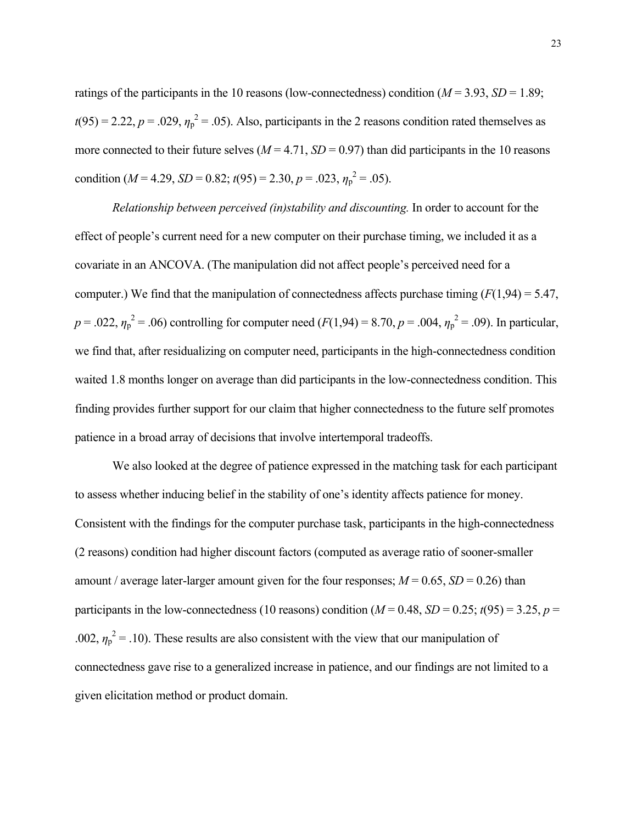ratings of the participants in the 10 reasons (low-connectedness) condition  $(M = 3.93, SD = 1.89)$ ;  $t(95) = 2.22$ ,  $p = .029$ ,  $\eta_p^2 = .05$ ). Also, participants in the 2 reasons condition rated themselves as more connected to their future selves  $(M = 4.71, SD = 0.97)$  than did participants in the 10 reasons condition ( $M = 4.29$ ,  $SD = 0.82$ ;  $t(95) = 2.30$ ,  $p = .023$ ,  $\eta_p^2 = .05$ ).

*Relationship between perceived (in)stability and discounting.* In order to account for the effect of people's current need for a new computer on their purchase timing, we included it as a covariate in an ANCOVA. (The manipulation did not affect people's perceived need for a computer.) We find that the manipulation of connectedness affects purchase timing  $(F(1,94) = 5.47)$ ,  $p = .022$ ,  $\eta_p^2 = .06$ ) controlling for computer need (*F*(1,94) = 8.70,  $p = .004$ ,  $\eta_p^2 = .09$ ). In particular, we find that, after residualizing on computer need, participants in the high-connectedness condition waited 1.8 months longer on average than did participants in the low-connectedness condition. This finding provides further support for our claim that higher connectedness to the future self promotes patience in a broad array of decisions that involve intertemporal tradeoffs.

We also looked at the degree of patience expressed in the matching task for each participant to assess whether inducing belief in the stability of one's identity affects patience for money. Consistent with the findings for the computer purchase task, participants in the high-connectedness (2 reasons) condition had higher discount factors (computed as average ratio of sooner-smaller amount / average later-larger amount given for the four responses;  $M = 0.65$ ,  $SD = 0.26$ ) than participants in the low-connectedness (10 reasons) condition ( $M = 0.48$ ,  $SD = 0.25$ ;  $t(95) = 3.25$ ,  $p =$ .002,  $\eta_p^2$  = .10). These results are also consistent with the view that our manipulation of connectedness gave rise to a generalized increase in patience, and our findings are not limited to a given elicitation method or product domain.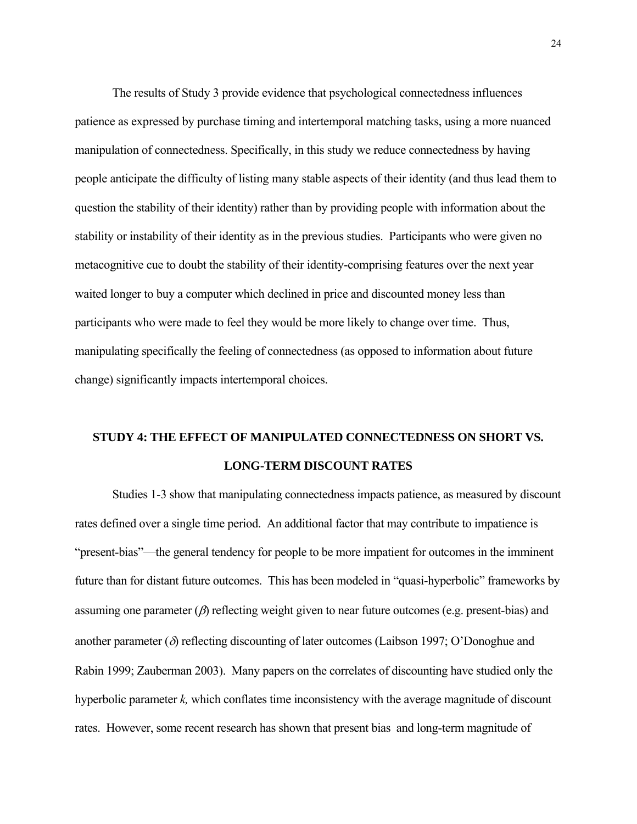The results of Study 3 provide evidence that psychological connectedness influences patience as expressed by purchase timing and intertemporal matching tasks, using a more nuanced manipulation of connectedness. Specifically, in this study we reduce connectedness by having people anticipate the difficulty of listing many stable aspects of their identity (and thus lead them to question the stability of their identity) rather than by providing people with information about the stability or instability of their identity as in the previous studies. Participants who were given no metacognitive cue to doubt the stability of their identity-comprising features over the next year waited longer to buy a computer which declined in price and discounted money less than participants who were made to feel they would be more likely to change over time. Thus, manipulating specifically the feeling of connectedness (as opposed to information about future change) significantly impacts intertemporal choices.

# **STUDY 4: THE EFFECT OF MANIPULATED CONNECTEDNESS ON SHORT VS. LONG-TERM DISCOUNT RATES**

Studies 1-3 show that manipulating connectedness impacts patience, as measured by discount rates defined over a single time period. An additional factor that may contribute to impatience is "present-bias"—the general tendency for people to be more impatient for outcomes in the imminent future than for distant future outcomes. This has been modeled in "quasi-hyperbolic" frameworks by assuming one parameter  $(\beta)$  reflecting weight given to near future outcomes (e.g. present-bias) and another parameter  $(\delta)$  reflecting discounting of later outcomes (Laibson 1997; O'Donoghue and Rabin 1999; Zauberman 2003). Many papers on the correlates of discounting have studied only the hyperbolic parameter *k*, which conflates time inconsistency with the average magnitude of discount rates. However, some recent research has shown that present bias and long-term magnitude of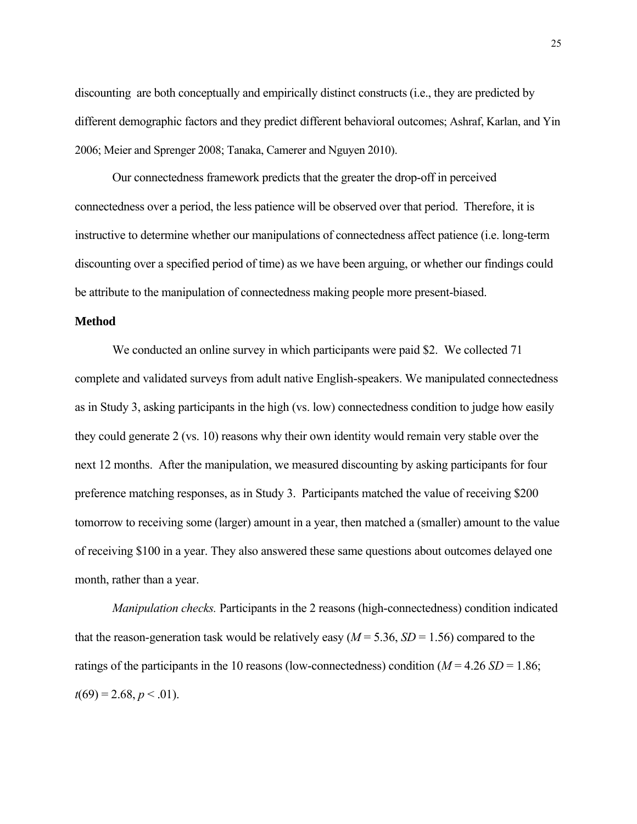discounting are both conceptually and empirically distinct constructs (i.e., they are predicted by different demographic factors and they predict different behavioral outcomes; Ashraf, Karlan, and Yin 2006; Meier and Sprenger 2008; Tanaka, Camerer and Nguyen 2010).

Our connectedness framework predicts that the greater the drop-off in perceived connectedness over a period, the less patience will be observed over that period. Therefore, it is instructive to determine whether our manipulations of connectedness affect patience (i.e. long-term discounting over a specified period of time) as we have been arguing, or whether our findings could be attribute to the manipulation of connectedness making people more present-biased.

## **Method**

We conducted an online survey in which participants were paid \$2. We collected 71 complete and validated surveys from adult native English-speakers. We manipulated connectedness as in Study 3, asking participants in the high (vs. low) connectedness condition to judge how easily they could generate 2 (vs. 10) reasons why their own identity would remain very stable over the next 12 months. After the manipulation, we measured discounting by asking participants for four preference matching responses, as in Study 3. Participants matched the value of receiving \$200 tomorrow to receiving some (larger) amount in a year, then matched a (smaller) amount to the value of receiving \$100 in a year. They also answered these same questions about outcomes delayed one month, rather than a year.

*Manipulation checks.* Participants in the 2 reasons (high-connectedness) condition indicated that the reason-generation task would be relatively easy  $(M = 5.36, SD = 1.56)$  compared to the ratings of the participants in the 10 reasons (low-connectedness) condition  $(M = 4.26 SD = 1.86$ ;  $t(69) = 2.68, p < .01$ .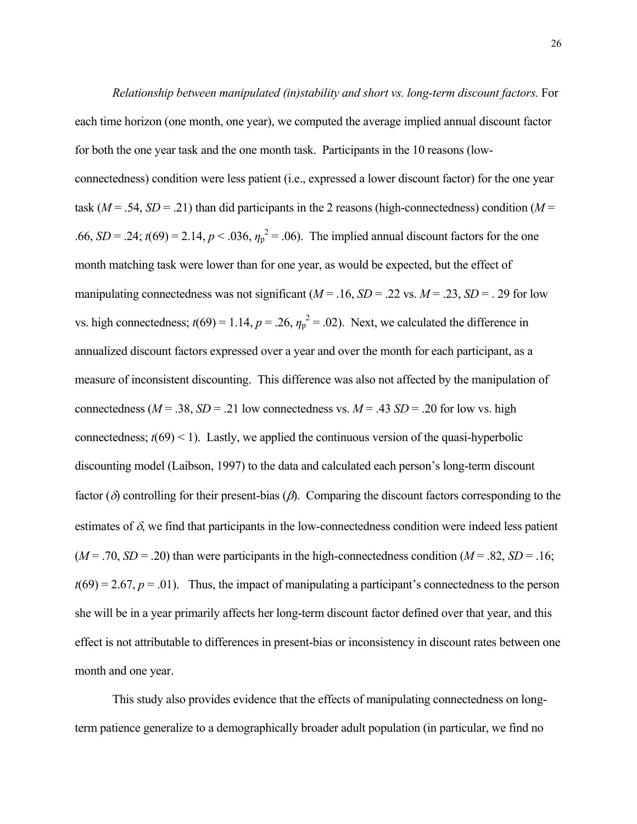*Relationship between manipulated (in)stability and short vs. long-term discount factors.* For each time horizon (one month, one year), we computed the average implied annual discount factor for both the one year task and the one month task. Participants in the 10 reasons (lowconnectedness) condition were less patient (i.e., expressed a lower discount factor) for the one year task ( $M = .54$ ,  $SD = .21$ ) than did participants in the 2 reasons (high-connectedness) condition ( $M =$ .66, *SD* = .24;  $t(69) = 2.14$ ,  $p < .036$ ,  $\eta_p^2 = .06$ ). The implied annual discount factors for the one month matching task were lower than for one year, as would be expected, but the effect of manipulating connectedness was not significant ( $M = .16$ ,  $SD = .22$  vs.  $M = .23$ ,  $SD = .29$  for low vs. high connectedness;  $t(69) = 1.14$ ,  $p = .26$ ,  $\eta_p^2 = .02$ ). Next, we calculated the difference in annualized discount factors expressed over a year and over the month for each participant, as a measure of inconsistent discounting. This difference was also not affected by the manipulation of connectedness ( $M = .38$ ,  $SD = .21$  low connectedness vs.  $M = .43$   $SD = .20$  for low vs. high connectedness;  $t(69) < 1$ ). Lastly, we applied the continuous version of the quasi-hyperbolic discounting model (Laibson, 1997) to the data and calculated each person's long-term discount factor ( $\delta$ ) controlling for their present-bias ( $\beta$ ). Comparing the discount factors corresponding to the estimates of  $\delta$ , we find that participants in the low-connectedness condition were indeed less patient  $(M = .70, SD = .20)$  than were participants in the high-connectedness condition  $(M = .82, SD = .16;$  $t(69) = 2.67$ ,  $p = .01$ ). Thus, the impact of manipulating a participant's connectedness to the person she will be in a year primarily affects her long-term discount factor defined over that year, and this effect is not attributable to differences in present-bias or inconsistency in discount rates between one month and one year.

This study also provides evidence that the effects of manipulating connectedness on longterm patience generalize to a demographically broader adult population (in particular, we find no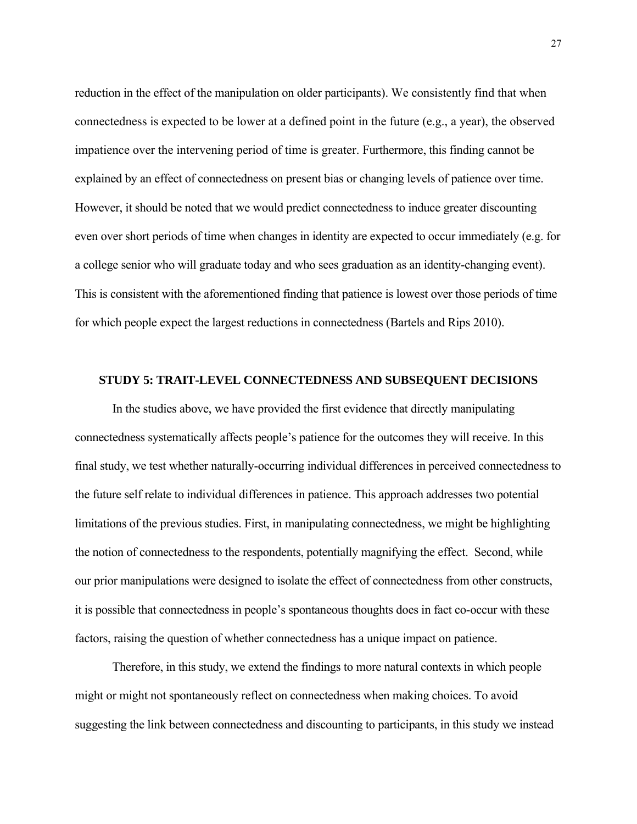reduction in the effect of the manipulation on older participants). We consistently find that when connectedness is expected to be lower at a defined point in the future (e.g., a year), the observed impatience over the intervening period of time is greater. Furthermore, this finding cannot be explained by an effect of connectedness on present bias or changing levels of patience over time. However, it should be noted that we would predict connectedness to induce greater discounting even over short periods of time when changes in identity are expected to occur immediately (e.g. for a college senior who will graduate today and who sees graduation as an identity-changing event). This is consistent with the aforementioned finding that patience is lowest over those periods of time for which people expect the largest reductions in connectedness (Bartels and Rips 2010).

#### **STUDY 5: TRAIT-LEVEL CONNECTEDNESS AND SUBSEQUENT DECISIONS**

In the studies above, we have provided the first evidence that directly manipulating connectedness systematically affects people's patience for the outcomes they will receive. In this final study, we test whether naturally-occurring individual differences in perceived connectedness to the future self relate to individual differences in patience. This approach addresses two potential limitations of the previous studies. First, in manipulating connectedness, we might be highlighting the notion of connectedness to the respondents, potentially magnifying the effect. Second, while our prior manipulations were designed to isolate the effect of connectedness from other constructs, it is possible that connectedness in people's spontaneous thoughts does in fact co-occur with these factors, raising the question of whether connectedness has a unique impact on patience.

Therefore, in this study, we extend the findings to more natural contexts in which people might or might not spontaneously reflect on connectedness when making choices. To avoid suggesting the link between connectedness and discounting to participants, in this study we instead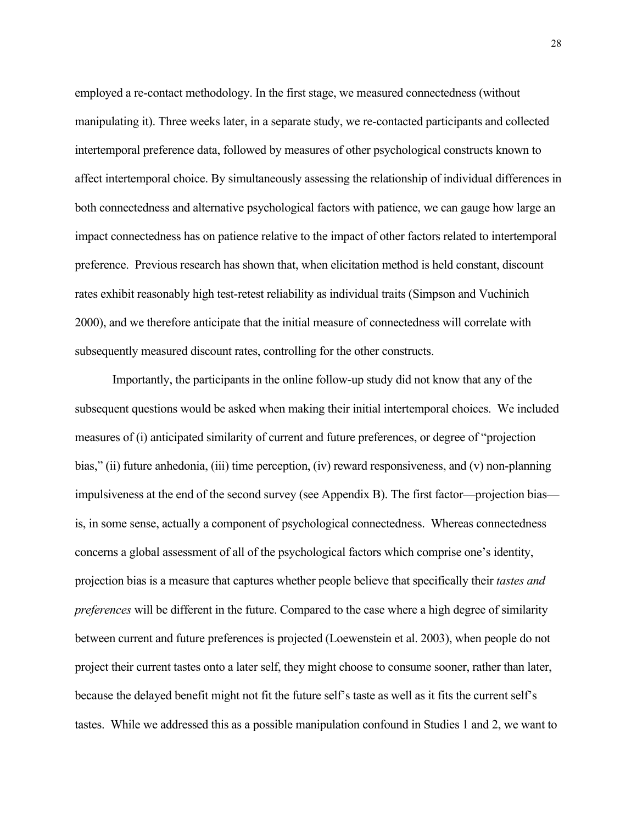employed a re-contact methodology. In the first stage, we measured connectedness (without manipulating it). Three weeks later, in a separate study, we re-contacted participants and collected intertemporal preference data, followed by measures of other psychological constructs known to affect intertemporal choice. By simultaneously assessing the relationship of individual differences in both connectedness and alternative psychological factors with patience, we can gauge how large an impact connectedness has on patience relative to the impact of other factors related to intertemporal preference. Previous research has shown that, when elicitation method is held constant, discount rates exhibit reasonably high test-retest reliability as individual traits (Simpson and Vuchinich 2000), and we therefore anticipate that the initial measure of connectedness will correlate with subsequently measured discount rates, controlling for the other constructs.

Importantly, the participants in the online follow-up study did not know that any of the subsequent questions would be asked when making their initial intertemporal choices. We included measures of (i) anticipated similarity of current and future preferences, or degree of "projection bias," (ii) future anhedonia, (iii) time perception, (iv) reward responsiveness, and (v) non-planning impulsiveness at the end of the second survey (see Appendix B). The first factor—projection bias is, in some sense, actually a component of psychological connectedness. Whereas connectedness concerns a global assessment of all of the psychological factors which comprise one's identity, projection bias is a measure that captures whether people believe that specifically their *tastes and preferences* will be different in the future. Compared to the case where a high degree of similarity between current and future preferences is projected (Loewenstein et al. 2003), when people do not project their current tastes onto a later self, they might choose to consume sooner, rather than later, because the delayed benefit might not fit the future self's taste as well as it fits the current self's tastes. While we addressed this as a possible manipulation confound in Studies 1 and 2, we want to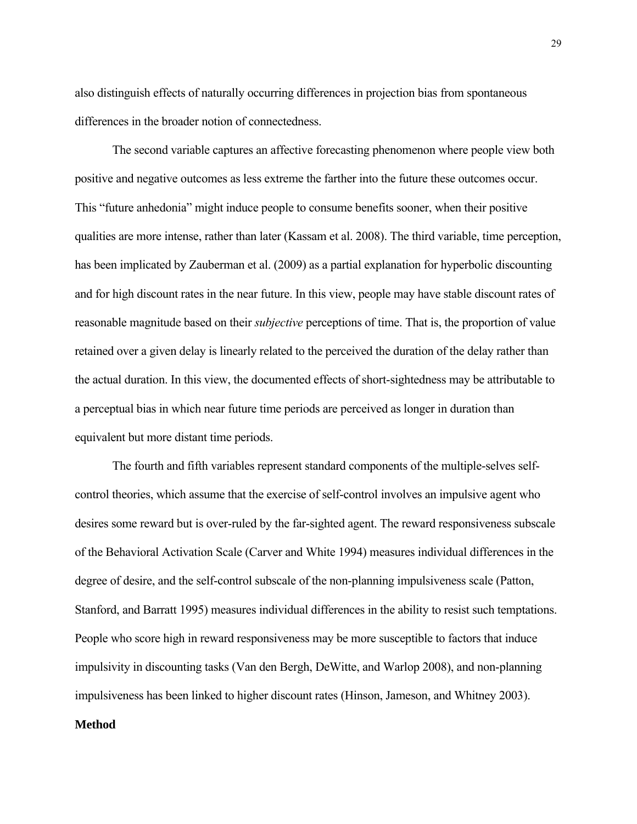also distinguish effects of naturally occurring differences in projection bias from spontaneous differences in the broader notion of connectedness.

The second variable captures an affective forecasting phenomenon where people view both positive and negative outcomes as less extreme the farther into the future these outcomes occur. This "future anhedonia" might induce people to consume benefits sooner, when their positive qualities are more intense, rather than later (Kassam et al. 2008). The third variable, time perception, has been implicated by Zauberman et al. (2009) as a partial explanation for hyperbolic discounting and for high discount rates in the near future. In this view, people may have stable discount rates of reasonable magnitude based on their *subjective* perceptions of time. That is, the proportion of value retained over a given delay is linearly related to the perceived the duration of the delay rather than the actual duration. In this view, the documented effects of short-sightedness may be attributable to a perceptual bias in which near future time periods are perceived as longer in duration than equivalent but more distant time periods.

The fourth and fifth variables represent standard components of the multiple-selves selfcontrol theories, which assume that the exercise of self-control involves an impulsive agent who desires some reward but is over-ruled by the far-sighted agent. The reward responsiveness subscale of the Behavioral Activation Scale (Carver and White 1994) measures individual differences in the degree of desire, and the self-control subscale of the non-planning impulsiveness scale (Patton, Stanford, and Barratt 1995) measures individual differences in the ability to resist such temptations. People who score high in reward responsiveness may be more susceptible to factors that induce impulsivity in discounting tasks (Van den Bergh, DeWitte, and Warlop 2008), and non-planning impulsiveness has been linked to higher discount rates (Hinson, Jameson, and Whitney 2003).

#### **Method**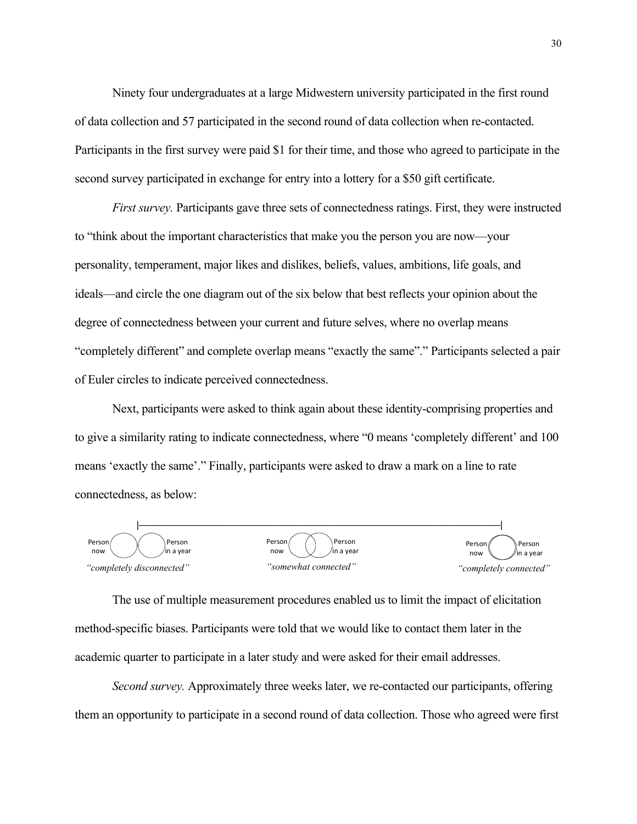Ninety four undergraduates at a large Midwestern university participated in the first round of data collection and 57 participated in the second round of data collection when re-contacted. Participants in the first survey were paid \$1 for their time, and those who agreed to participate in the second survey participated in exchange for entry into a lottery for a \$50 gift certificate.

*First survey.* Participants gave three sets of connectedness ratings. First, they were instructed to "think about the important characteristics that make you the person you are now—your personality, temperament, major likes and dislikes, beliefs, values, ambitions, life goals, and ideals—and circle the one diagram out of the six below that best reflects your opinion about the degree of connectedness between your current and future selves, where no overlap means "completely different" and complete overlap means "exactly the same"." Participants selected a pair of Euler circles to indicate perceived connectedness.

Next, participants were asked to think again about these identity-comprising properties and to give a similarity rating to indicate connectedness, where "0 means 'completely different' and 100 means 'exactly the same'." Finally, participants were asked to draw a mark on a line to rate connectedness, as below:



The use of multiple measurement procedures enabled us to limit the impact of elicitation method-specific biases. Participants were told that we would like to contact them later in the academic quarter to participate in a later study and were asked for their email addresses.

*Second survey.* Approximately three weeks later, we re-contacted our participants, offering them an opportunity to participate in a second round of data collection. Those who agreed were first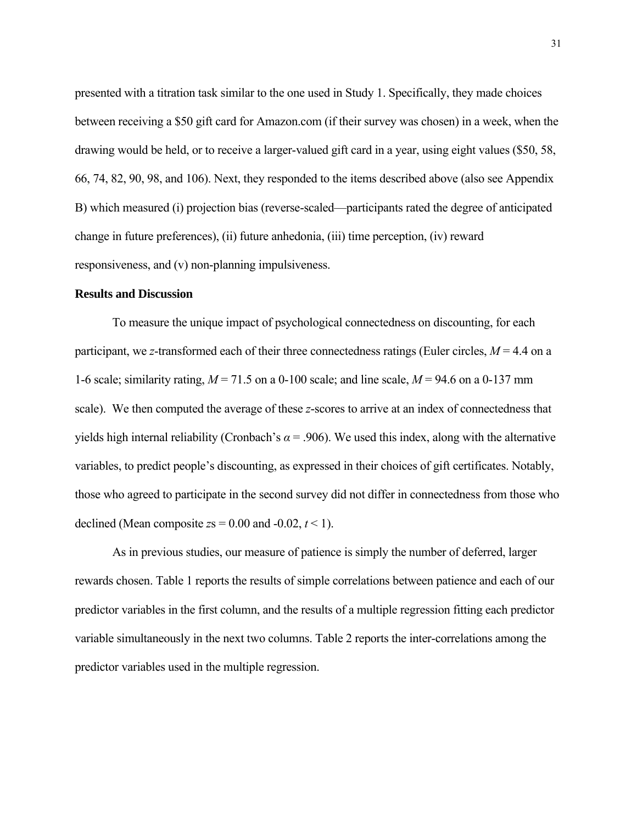presented with a titration task similar to the one used in Study 1. Specifically, they made choices between receiving a \$50 gift card for Amazon.com (if their survey was chosen) in a week, when the drawing would be held, or to receive a larger-valued gift card in a year, using eight values (\$50, 58, 66, 74, 82, 90, 98, and 106). Next, they responded to the items described above (also see Appendix B) which measured (i) projection bias (reverse-scaled—participants rated the degree of anticipated change in future preferences), (ii) future anhedonia, (iii) time perception, (iv) reward responsiveness, and (v) non-planning impulsiveness.

# **Results and Discussion**

To measure the unique impact of psychological connectedness on discounting, for each participant, we *z*-transformed each of their three connectedness ratings (Euler circles,  $M = 4.4$  on a 1-6 scale; similarity rating, *M* = 71.5 on a 0-100 scale; and line scale, *M* = 94.6 on a 0-137 mm scale). We then computed the average of these *z*-scores to arrive at an index of connectedness that yields high internal reliability (Cronbach's  $\alpha$  = .906). We used this index, along with the alternative variables, to predict people's discounting, as expressed in their choices of gift certificates. Notably, those who agreed to participate in the second survey did not differ in connectedness from those who declined (Mean composite  $zs = 0.00$  and  $-0.02$ ,  $t < 1$ ).

As in previous studies, our measure of patience is simply the number of deferred, larger rewards chosen. Table 1 reports the results of simple correlations between patience and each of our predictor variables in the first column, and the results of a multiple regression fitting each predictor variable simultaneously in the next two columns. Table 2 reports the inter-correlations among the predictor variables used in the multiple regression.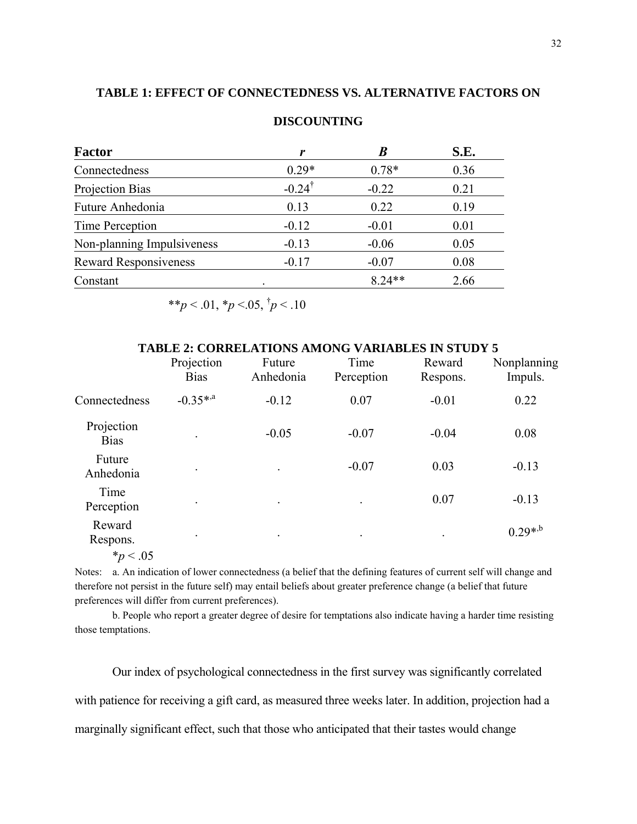# **TABLE 1: EFFECT OF CONNECTEDNESS VS. ALTERNATIVE FACTORS ON**

| <b>Factor</b>                | r                 |          | S.E. |
|------------------------------|-------------------|----------|------|
| Connectedness                | $0.29*$           | $0.78*$  | 0.36 |
| Projection Bias              | $-0.24^{\dagger}$ | $-0.22$  | 0.21 |
| Future Anhedonia             | 0.13              | 0.22     | 0.19 |
| Time Perception              | $-0.12$           | $-0.01$  | 0.01 |
| Non-planning Impulsiveness   | $-0.13$           | $-0.06$  | 0.05 |
| <b>Reward Responsiveness</b> | $-0.17$           | $-0.07$  | 0.08 |
| Constant                     |                   | $8.24**$ | 2.66 |

# **DISCOUNTING**

\*\* $p < .01$ , \* $p < .05$ , <sup>†</sup> $p < .10$ 

|                                       |                           | TADLE 2. CONNELATIONS AMONG |                      | I TANADLED IN DIVDI J |                        |
|---------------------------------------|---------------------------|-----------------------------|----------------------|-----------------------|------------------------|
|                                       | Projection<br><b>Bias</b> | Future<br>Anhedonia         | Time<br>Perception   | Reward<br>Respons.    | Nonplanning<br>Impuls. |
| Connectedness                         | $-0.35^{*,a}$             | $-0.12$                     | 0.07                 | $-0.01$               | 0.22                   |
| Projection<br><b>Bias</b>             |                           | $-0.05$                     | $-0.07$              | $-0.04$               | 0.08                   |
| Future<br>Anhedonia                   | $\bullet$                 |                             | $-0.07$              | 0.03                  | $-0.13$                |
| Time<br>Perception                    | $\bullet$                 | $\bullet$                   | $\ddot{\phantom{0}}$ | 0.07                  | $-0.13$                |
| Reward<br>Respons.<br><i>*p</i> < .05 | $\bullet$                 | $\bullet$                   | $\ddot{\phantom{0}}$ |                       | $0.29^{*,b}$           |

### **TABLE 2: CORRELATIONS AMONG VARIABLES IN STUDY 5**

Notes: a. An indication of lower connectedness (a belief that the defining features of current self will change and therefore not persist in the future self) may entail beliefs about greater preference change (a belief that future preferences will differ from current preferences).

b. People who report a greater degree of desire for temptations also indicate having a harder time resisting those temptations.

Our index of psychological connectedness in the first survey was significantly correlated with patience for receiving a gift card, as measured three weeks later. In addition, projection had a marginally significant effect, such that those who anticipated that their tastes would change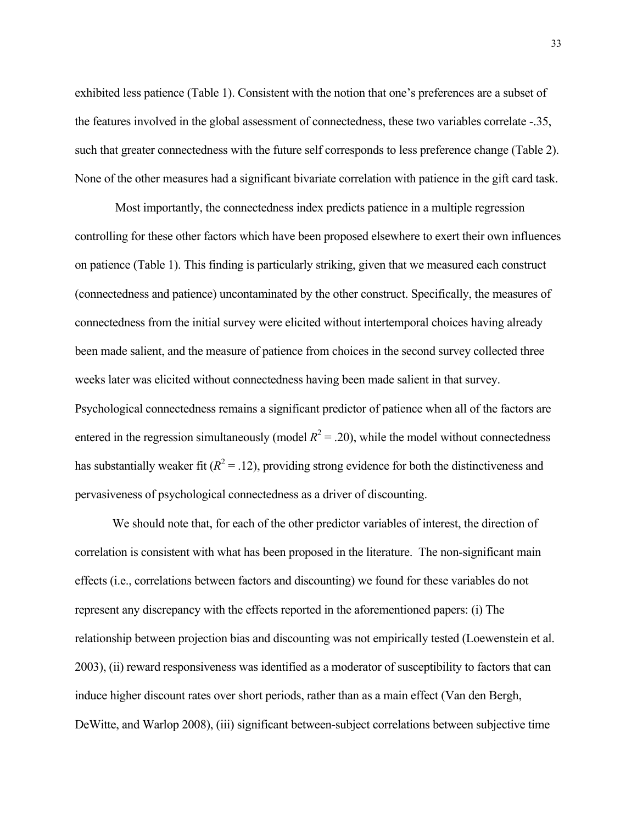exhibited less patience (Table 1). Consistent with the notion that one's preferences are a subset of the features involved in the global assessment of connectedness, these two variables correlate -.35, such that greater connectedness with the future self corresponds to less preference change (Table 2). None of the other measures had a significant bivariate correlation with patience in the gift card task.

 Most importantly, the connectedness index predicts patience in a multiple regression controlling for these other factors which have been proposed elsewhere to exert their own influences on patience (Table 1). This finding is particularly striking, given that we measured each construct (connectedness and patience) uncontaminated by the other construct. Specifically, the measures of connectedness from the initial survey were elicited without intertemporal choices having already been made salient, and the measure of patience from choices in the second survey collected three weeks later was elicited without connectedness having been made salient in that survey. Psychological connectedness remains a significant predictor of patience when all of the factors are entered in the regression simultaneously (model  $R^2 = .20$ ), while the model without connectedness has substantially weaker fit  $(R^2 = .12)$ , providing strong evidence for both the distinctiveness and pervasiveness of psychological connectedness as a driver of discounting.

We should note that, for each of the other predictor variables of interest, the direction of correlation is consistent with what has been proposed in the literature. The non-significant main effects (i.e., correlations between factors and discounting) we found for these variables do not represent any discrepancy with the effects reported in the aforementioned papers: (i) The relationship between projection bias and discounting was not empirically tested (Loewenstein et al. 2003), (ii) reward responsiveness was identified as a moderator of susceptibility to factors that can induce higher discount rates over short periods, rather than as a main effect (Van den Bergh, DeWitte, and Warlop 2008), (iii) significant between-subject correlations between subjective time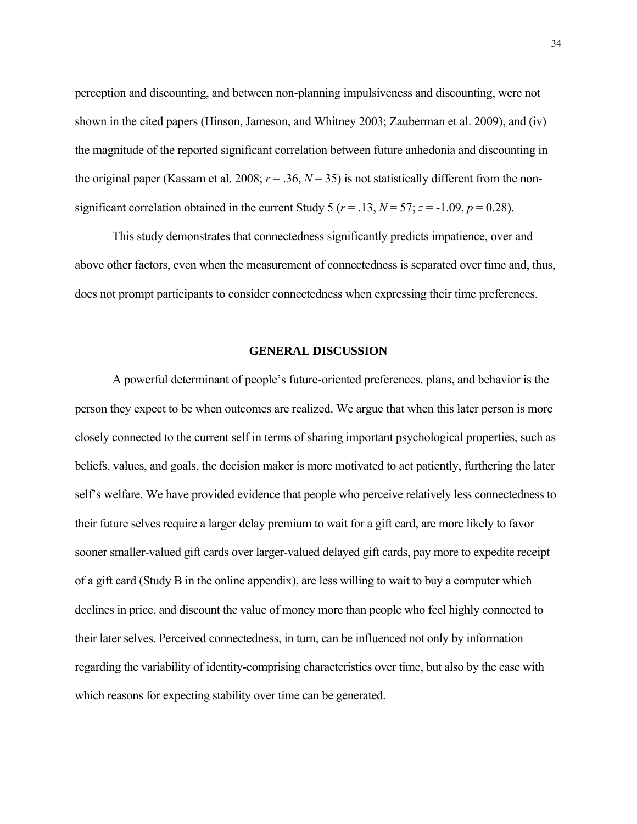perception and discounting, and between non-planning impulsiveness and discounting, were not shown in the cited papers (Hinson, Jameson, and Whitney 2003; Zauberman et al. 2009), and (iv) the magnitude of the reported significant correlation between future anhedonia and discounting in the original paper (Kassam et al. 2008;  $r = .36$ ,  $N = 35$ ) is not statistically different from the nonsignificant correlation obtained in the current Study 5 ( $r = .13$ ,  $N = 57$ ;  $z = -1.09$ ,  $p = 0.28$ ).

This study demonstrates that connectedness significantly predicts impatience, over and above other factors, even when the measurement of connectedness is separated over time and, thus, does not prompt participants to consider connectedness when expressing their time preferences.

#### **GENERAL DISCUSSION**

A powerful determinant of people's future-oriented preferences, plans, and behavior is the person they expect to be when outcomes are realized. We argue that when this later person is more closely connected to the current self in terms of sharing important psychological properties, such as beliefs, values, and goals, the decision maker is more motivated to act patiently, furthering the later self's welfare. We have provided evidence that people who perceive relatively less connectedness to their future selves require a larger delay premium to wait for a gift card, are more likely to favor sooner smaller-valued gift cards over larger-valued delayed gift cards, pay more to expedite receipt of a gift card (Study B in the online appendix), are less willing to wait to buy a computer which declines in price, and discount the value of money more than people who feel highly connected to their later selves. Perceived connectedness, in turn, can be influenced not only by information regarding the variability of identity-comprising characteristics over time, but also by the ease with which reasons for expecting stability over time can be generated.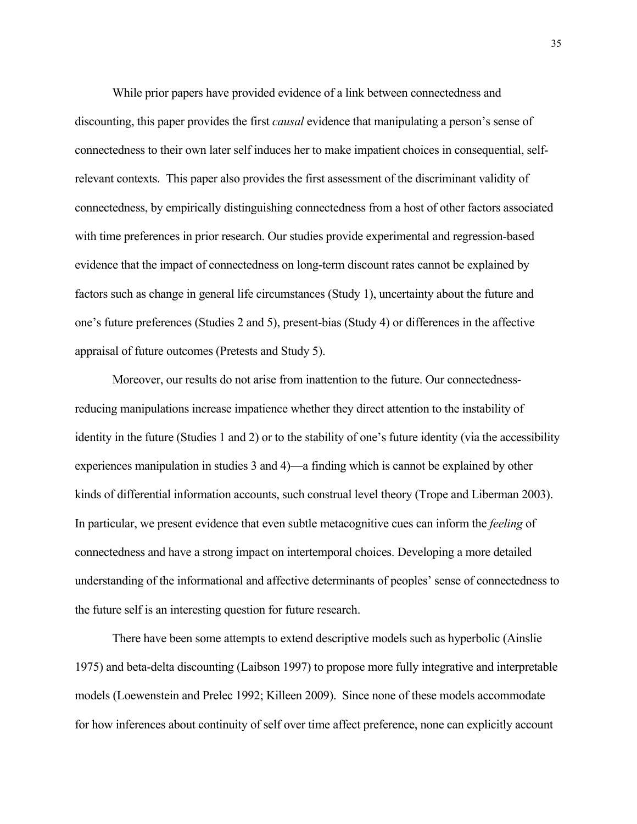While prior papers have provided evidence of a link between connectedness and discounting, this paper provides the first *causal* evidence that manipulating a person's sense of connectedness to their own later self induces her to make impatient choices in consequential, selfrelevant contexts. This paper also provides the first assessment of the discriminant validity of connectedness, by empirically distinguishing connectedness from a host of other factors associated with time preferences in prior research. Our studies provide experimental and regression-based evidence that the impact of connectedness on long-term discount rates cannot be explained by factors such as change in general life circumstances (Study 1), uncertainty about the future and one's future preferences (Studies 2 and 5), present-bias (Study 4) or differences in the affective appraisal of future outcomes (Pretests and Study 5).

Moreover, our results do not arise from inattention to the future. Our connectednessreducing manipulations increase impatience whether they direct attention to the instability of identity in the future (Studies 1 and 2) or to the stability of one's future identity (via the accessibility experiences manipulation in studies 3 and 4)—a finding which is cannot be explained by other kinds of differential information accounts, such construal level theory (Trope and Liberman 2003). In particular, we present evidence that even subtle metacognitive cues can inform the *feeling* of connectedness and have a strong impact on intertemporal choices. Developing a more detailed understanding of the informational and affective determinants of peoples' sense of connectedness to the future self is an interesting question for future research.

There have been some attempts to extend descriptive models such as hyperbolic (Ainslie 1975) and beta-delta discounting (Laibson 1997) to propose more fully integrative and interpretable models (Loewenstein and Prelec 1992; Killeen 2009). Since none of these models accommodate for how inferences about continuity of self over time affect preference, none can explicitly account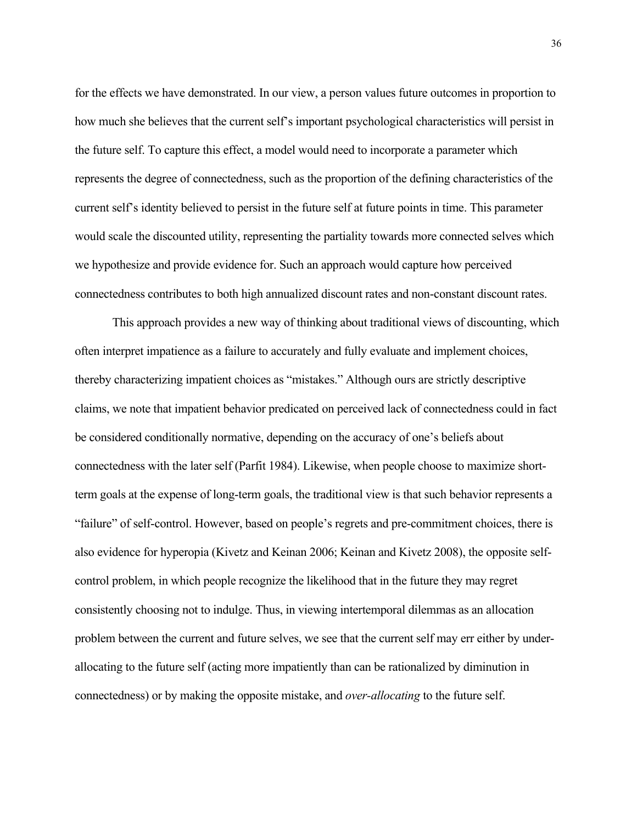for the effects we have demonstrated. In our view, a person values future outcomes in proportion to how much she believes that the current self's important psychological characteristics will persist in the future self. To capture this effect, a model would need to incorporate a parameter which represents the degree of connectedness, such as the proportion of the defining characteristics of the current self's identity believed to persist in the future self at future points in time. This parameter would scale the discounted utility, representing the partiality towards more connected selves which we hypothesize and provide evidence for. Such an approach would capture how perceived connectedness contributes to both high annualized discount rates and non-constant discount rates.

This approach provides a new way of thinking about traditional views of discounting, which often interpret impatience as a failure to accurately and fully evaluate and implement choices, thereby characterizing impatient choices as "mistakes." Although ours are strictly descriptive claims, we note that impatient behavior predicated on perceived lack of connectedness could in fact be considered conditionally normative, depending on the accuracy of one's beliefs about connectedness with the later self (Parfit 1984). Likewise, when people choose to maximize shortterm goals at the expense of long-term goals, the traditional view is that such behavior represents a "failure" of self-control. However, based on people's regrets and pre-commitment choices, there is also evidence for hyperopia (Kivetz and Keinan 2006; Keinan and Kivetz 2008), the opposite selfcontrol problem, in which people recognize the likelihood that in the future they may regret consistently choosing not to indulge. Thus, in viewing intertemporal dilemmas as an allocation problem between the current and future selves, we see that the current self may err either by underallocating to the future self (acting more impatiently than can be rationalized by diminution in connectedness) or by making the opposite mistake, and *over-allocating* to the future self.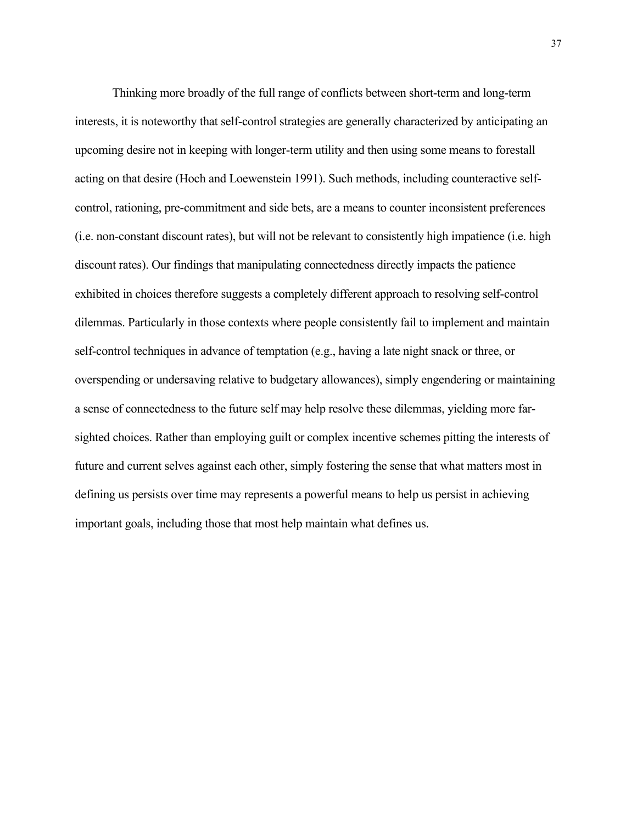Thinking more broadly of the full range of conflicts between short-term and long-term interests, it is noteworthy that self-control strategies are generally characterized by anticipating an upcoming desire not in keeping with longer-term utility and then using some means to forestall acting on that desire (Hoch and Loewenstein 1991). Such methods, including counteractive selfcontrol, rationing, pre-commitment and side bets, are a means to counter inconsistent preferences (i.e. non-constant discount rates), but will not be relevant to consistently high impatience (i.e. high discount rates). Our findings that manipulating connectedness directly impacts the patience exhibited in choices therefore suggests a completely different approach to resolving self-control dilemmas. Particularly in those contexts where people consistently fail to implement and maintain self-control techniques in advance of temptation (e.g., having a late night snack or three, or overspending or undersaving relative to budgetary allowances), simply engendering or maintaining a sense of connectedness to the future self may help resolve these dilemmas, yielding more farsighted choices. Rather than employing guilt or complex incentive schemes pitting the interests of future and current selves against each other, simply fostering the sense that what matters most in defining us persists over time may represents a powerful means to help us persist in achieving important goals, including those that most help maintain what defines us.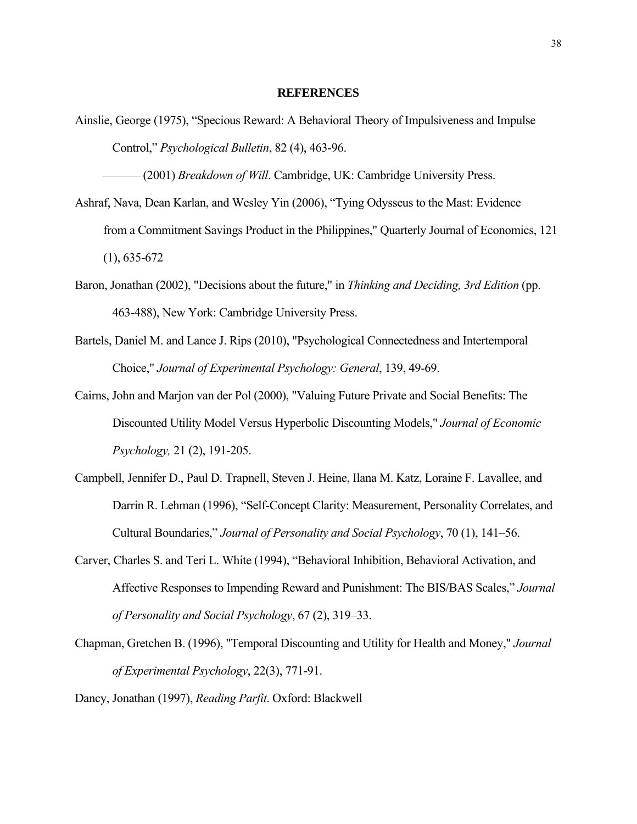#### **REFERENCES**

Ainslie, George (1975), "Specious Reward: A Behavioral Theory of Impulsiveness and Impulse Control," *Psychological Bulletin*, 82 (4), 463-96.

——— (2001) *Breakdown of Will*. Cambridge, UK: Cambridge University Press.

- Ashraf, Nava, Dean Karlan, and Wesley Yin (2006), "Tying Odysseus to the Mast: Evidence from a Commitment Savings Product in the Philippines," Quarterly Journal of Economics, 121  $(1), 635-672$
- Baron, Jonathan (2002), "Decisions about the future," in *Thinking and Deciding, 3rd Edition* (pp. 463-488), New York: Cambridge University Press.
- Bartels, Daniel M. and Lance J. Rips (2010), "Psychological Connectedness and Intertemporal Choice," *Journal of Experimental Psychology: General*, 139, 49-69.
- Cairns, John and Marjon van der Pol (2000), "Valuing Future Private and Social Benefits: The Discounted Utility Model Versus Hyperbolic Discounting Models," *Journal of Economic Psychology,* 21 (2), 191-205.
- Campbell, Jennifer D., Paul D. Trapnell, Steven J. Heine, Ilana M. Katz, Loraine F. Lavallee, and Darrin R. Lehman (1996), "Self-Concept Clarity: Measurement, Personality Correlates, and Cultural Boundaries," *Journal of Personality and Social Psychology*, 70 (1), 141–56.
- Carver, Charles S. and Teri L. White (1994), "Behavioral Inhibition, Behavioral Activation, and Affective Responses to Impending Reward and Punishment: The BIS/BAS Scales," *Journal of Personality and Social Psychology*, 67 (2), 319–33.
- Chapman, Gretchen B. (1996), "Temporal Discounting and Utility for Health and Money," *Journal of Experimental Psychology*, 22(3), 771-91.

Dancy, Jonathan (1997), *Reading Parfit*. Oxford: Blackwell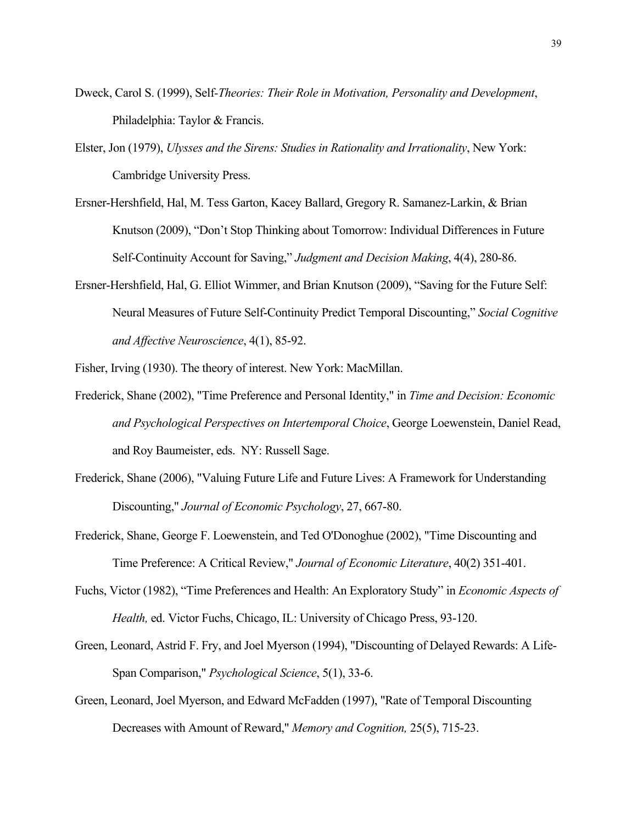- Dweck, Carol S. (1999), Self*-Theories: Their Role in Motivation, Personality and Development*, Philadelphia: Taylor & Francis.
- Elster, Jon (1979), *Ulysses and the Sirens: Studies in Rationality and Irrationality*, New York: Cambridge University Press.
- Ersner-Hershfield, Hal, M. Tess Garton, Kacey Ballard, Gregory R. Samanez-Larkin, & Brian Knutson (2009), "Don't Stop Thinking about Tomorrow: Individual Differences in Future Self-Continuity Account for Saving," *Judgment and Decision Making*, 4(4), 280-86.
- Ersner-Hershfield, Hal, G. Elliot Wimmer, and Brian Knutson (2009), "Saving for the Future Self: Neural Measures of Future Self-Continuity Predict Temporal Discounting," *Social Cognitive and Affective Neuroscience*, 4(1), 85-92.
- Fisher, Irving (1930). The theory of interest. New York: MacMillan.
- Frederick, Shane (2002), "Time Preference and Personal Identity," in *Time and Decision: Economic and Psychological Perspectives on Intertemporal Choice*, George Loewenstein, Daniel Read, and Roy Baumeister, eds. NY: Russell Sage.
- Frederick, Shane (2006), "Valuing Future Life and Future Lives: A Framework for Understanding Discounting," *Journal of Economic Psychology*, 27, 667-80.
- Frederick, Shane, George F. Loewenstein, and Ted O'Donoghue (2002), "Time Discounting and Time Preference: A Critical Review," *Journal of Economic Literature*, 40(2) 351-401.
- Fuchs, Victor (1982), "Time Preferences and Health: An Exploratory Study" in *Economic Aspects of Health,* ed. Victor Fuchs, Chicago, IL: University of Chicago Press, 93-120.
- Green, Leonard, Astrid F. Fry, and Joel Myerson (1994), "Discounting of Delayed Rewards: A Life-Span Comparison," *Psychological Science*, 5(1), 33-6.
- Green, Leonard, Joel Myerson, and Edward McFadden (1997), "Rate of Temporal Discounting Decreases with Amount of Reward," *Memory and Cognition,* 25(5), 715-23.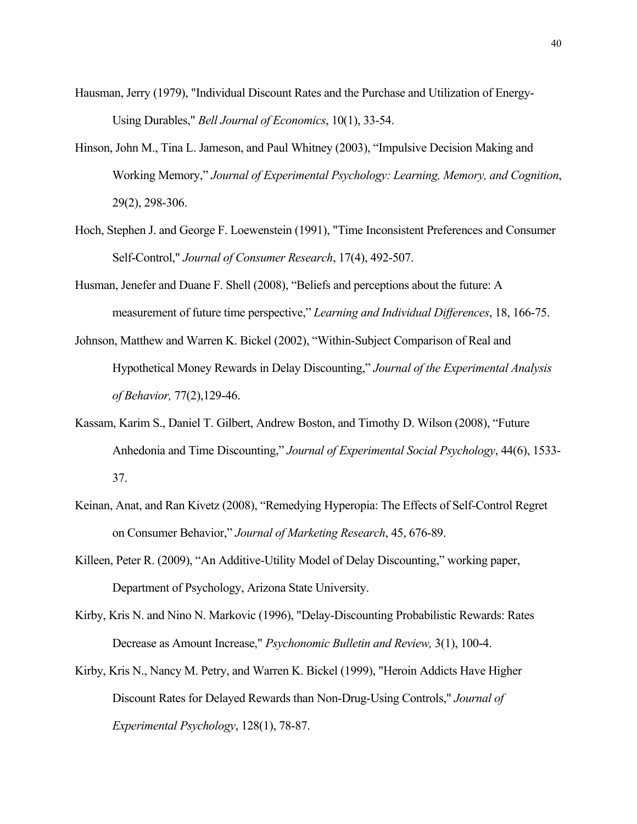- Hausman, Jerry (1979), "Individual Discount Rates and the Purchase and Utilization of Energy-Using Durables," *Bell Journal of Economics*, 10(1), 33-54.
- Hinson, John M., Tina L. Jameson, and Paul Whitney (2003), "Impulsive Decision Making and Working Memory," *Journal of Experimental Psychology: Learning, Memory, and Cognition*, 29(2), 298-306.
- Hoch, Stephen J. and George F. Loewenstein (1991), "Time Inconsistent Preferences and Consumer Self-Control," *Journal of Consumer Research*, 17(4), 492-507.
- Husman, Jenefer and Duane F. Shell (2008), "Beliefs and perceptions about the future: A measurement of future time perspective," *Learning and Individual Differences*, 18, 166-75.
- Johnson, Matthew and Warren K. Bickel (2002), "Within-Subject Comparison of Real and Hypothetical Money Rewards in Delay Discounting," *Journal of the Experimental Analysis of Behavior,* 77(2),129-46.
- Kassam, Karim S., Daniel T. Gilbert, Andrew Boston, and Timothy D. Wilson (2008), "Future Anhedonia and Time Discounting," *Journal of Experimental Social Psychology*, 44(6), 1533- 37.
- Keinan, Anat, and Ran Kivetz (2008), "Remedying Hyperopia: The Effects of Self-Control Regret on Consumer Behavior," *Journal of Marketing Research*, 45, 676-89.
- Killeen, Peter R. (2009), "An Additive-Utility Model of Delay Discounting," working paper, Department of Psychology, Arizona State University.
- Kirby, Kris N. and Nino N. Markovic (1996), "Delay-Discounting Probabilistic Rewards: Rates Decrease as Amount Increase," *Psychonomic Bulletin and Review,* 3(1), 100-4.
- Kirby, Kris N., Nancy M. Petry, and Warren K. Bickel (1999), "Heroin Addicts Have Higher Discount Rates for Delayed Rewards than Non-Drug-Using Controls," *Journal of Experimental Psychology*, 128(1), 78-87.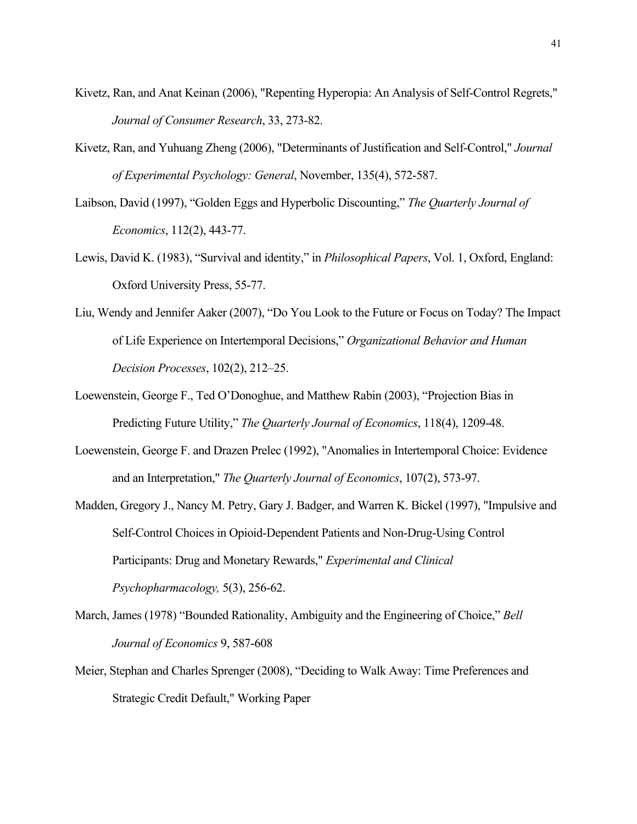- Kivetz, Ran, and Anat Keinan (2006), "Repenting Hyperopia: An Analysis of Self-Control Regrets," *Journal of Consumer Research*, 33, 273-82.
- Kivetz, Ran, and Yuhuang Zheng (2006), "Determinants of Justification and Self-Control," *Journal of Experimental Psychology: General*, November, 135(4), 572-587.
- Laibson, David (1997), "Golden Eggs and Hyperbolic Discounting," *The Quarterly Journal of Economics*, 112(2), 443-77.
- Lewis, David K. (1983), "Survival and identity," in *Philosophical Papers*, Vol. 1, Oxford, England: Oxford University Press, 55-77.
- Liu, Wendy and Jennifer Aaker (2007), "Do You Look to the Future or Focus on Today? The Impact of Life Experience on Intertemporal Decisions," *Organizational Behavior and Human Decision Processes*, 102(2), 212–25.
- Loewenstein, George F., Ted O'Donoghue, and Matthew Rabin (2003), "Projection Bias in Predicting Future Utility," *The Quarterly Journal of Economics*, 118(4), 1209-48.
- Loewenstein, George F. and Drazen Prelec (1992), "Anomalies in Intertemporal Choice: Evidence and an Interpretation," *The Quarterly Journal of Economics*, 107(2), 573-97.
- Madden, Gregory J., Nancy M. Petry, Gary J. Badger, and Warren K. Bickel (1997), "Impulsive and Self-Control Choices in Opioid-Dependent Patients and Non-Drug-Using Control Participants: Drug and Monetary Rewards," *Experimental and Clinical Psychopharmacology,* 5(3), 256-62.
- March, James (1978) "Bounded Rationality, Ambiguity and the Engineering of Choice," *Bell Journal of Economics* 9, 587-608
- Meier, Stephan and Charles Sprenger (2008), "Deciding to Walk Away: Time Preferences and Strategic Credit Default," Working Paper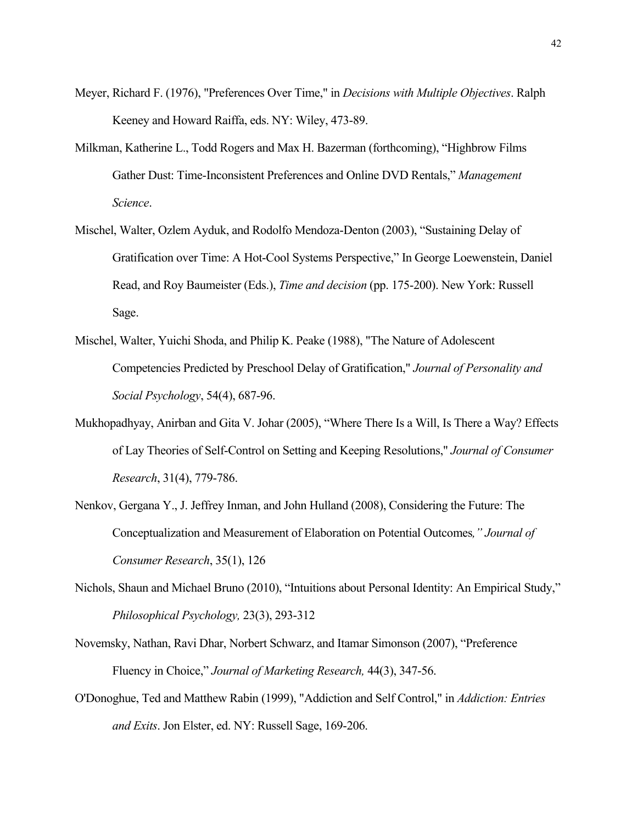- Meyer, Richard F. (1976), "Preferences Over Time," in *Decisions with Multiple Objectives*. Ralph Keeney and Howard Raiffa, eds. NY: Wiley, 473-89.
- Milkman, Katherine L., Todd Rogers and Max H. Bazerman (forthcoming), "Highbrow Films Gather Dust: Time-Inconsistent Preferences and Online DVD Rentals," *Management Science*.
- Mischel, Walter, Ozlem Ayduk, and Rodolfo Mendoza-Denton (2003), "Sustaining Delay of Gratification over Time: A Hot-Cool Systems Perspective," In George Loewenstein, Daniel Read, and Roy Baumeister (Eds.), *Time and decision* (pp. 175-200). New York: Russell Sage.
- Mischel, Walter, Yuichi Shoda, and Philip K. Peake (1988), "The Nature of Adolescent Competencies Predicted by Preschool Delay of Gratification," *Journal of Personality and Social Psychology*, 54(4), 687-96.
- Mukhopadhyay, Anirban and Gita V. Johar (2005), "Where There Is a Will, Is There a Way? Effects of Lay Theories of Self-Control on Setting and Keeping Resolutions," *Journal of Consumer Research*, 31(4), 779-786.
- Nenkov, Gergana Y., J. Jeffrey Inman, and John Hulland (2008), Considering the Future: The Conceptualization and Measurement of Elaboration on Potential Outcomes*," Journal of Consumer Research*, 35(1), 126
- Nichols, Shaun and Michael Bruno (2010), "Intuitions about Personal Identity: An Empirical Study," *Philosophical Psychology,* 23(3), 293-312
- Novemsky, Nathan, Ravi Dhar, Norbert Schwarz, and Itamar Simonson (2007), "Preference Fluency in Choice," *Journal of Marketing Research,* 44(3), 347-56.
- O'Donoghue, Ted and Matthew Rabin (1999), "Addiction and Self Control," in *Addiction: Entries and Exits*. Jon Elster, ed. NY: Russell Sage, 169-206.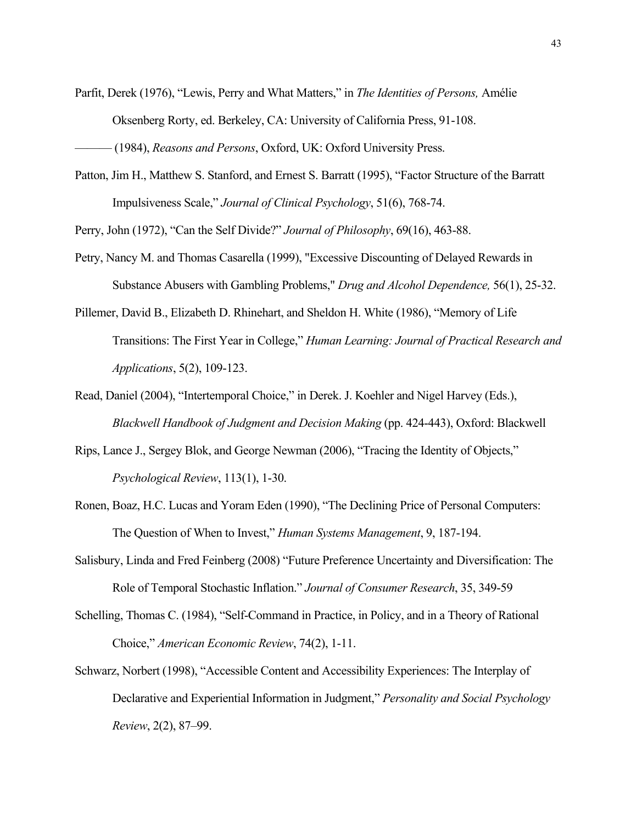Parfit, Derek (1976), "Lewis, Perry and What Matters," in *The Identities of Persons,* Amélie Oksenberg Rorty, ed. Berkeley, CA: University of California Press, 91-108.

——— (1984), *Reasons and Persons*, Oxford, UK: Oxford University Press.

Patton, Jim H., Matthew S. Stanford, and Ernest S. Barratt (1995), "Factor Structure of the Barratt Impulsiveness Scale," *Journal of Clinical Psychology*, 51(6), 768-74.

Perry, John (1972), "Can the Self Divide?" *Journal of Philosophy*, 69(16), 463-88.

- Petry, Nancy M. and Thomas Casarella (1999), "Excessive Discounting of Delayed Rewards in Substance Abusers with Gambling Problems," *Drug and Alcohol Dependence,* 56(1), 25-32.
- Pillemer, David B., Elizabeth D. Rhinehart, and Sheldon H. White (1986), "Memory of Life Transitions: The First Year in College," *Human Learning: Journal of Practical Research and Applications*, 5(2), 109-123.
- Read, Daniel (2004), "Intertemporal Choice," in Derek. J. Koehler and Nigel Harvey (Eds.), *Blackwell Handbook of Judgment and Decision Making* (pp. 424-443), Oxford: Blackwell
- Rips, Lance J., Sergey Blok, and George Newman (2006), "Tracing the Identity of Objects," *Psychological Review*, 113(1), 1-30.
- Ronen, Boaz, H.C. Lucas and Yoram Eden (1990), "The Declining Price of Personal Computers: The Question of When to Invest," *Human Systems Management*, 9, 187-194.
- Salisbury, Linda and Fred Feinberg (2008) "Future Preference Uncertainty and Diversification: The Role of Temporal Stochastic Inflation." *Journal of Consumer Research*, 35, 349-59
- Schelling, Thomas C. (1984), "Self-Command in Practice, in Policy, and in a Theory of Rational Choice," *American Economic Review*, 74(2), 1-11.
- Schwarz, Norbert (1998), "Accessible Content and Accessibility Experiences: The Interplay of Declarative and Experiential Information in Judgment," *Personality and Social Psychology Review*, 2(2), 87–99.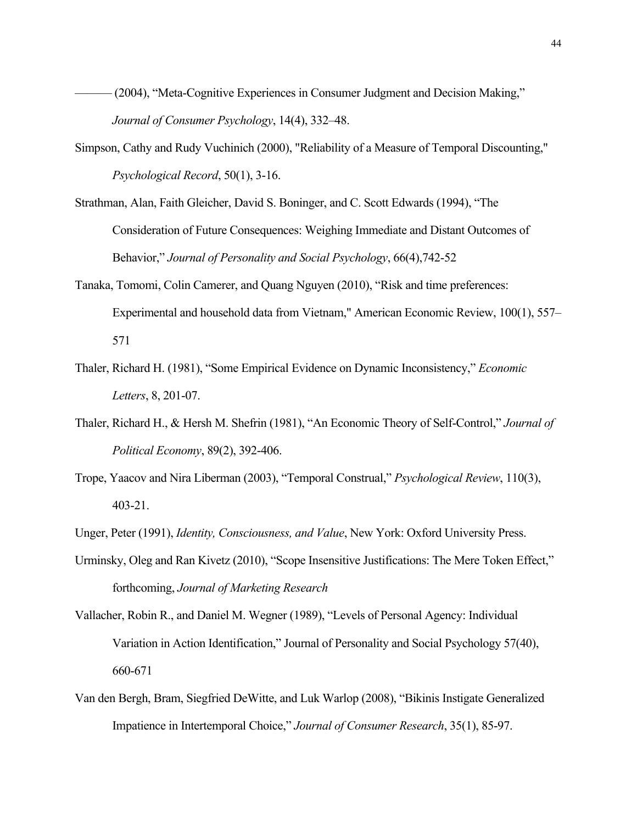$-(2004)$ , "Meta-Cognitive Experiences in Consumer Judgment and Decision Making," *Journal of Consumer Psychology*, 14(4), 332–48.

- Simpson, Cathy and Rudy Vuchinich (2000), "Reliability of a Measure of Temporal Discounting," *Psychological Record*, 50(1), 3-16.
- Strathman, Alan, Faith Gleicher, David S. Boninger, and C. Scott Edwards (1994), "The Consideration of Future Consequences: Weighing Immediate and Distant Outcomes of Behavior," *Journal of Personality and Social Psychology*, 66(4),742-52
- Tanaka, Tomomi, Colin Camerer, and Quang Nguyen (2010), "Risk and time preferences: Experimental and household data from Vietnam," American Economic Review, 100(1), 557– 571
- Thaler, Richard H. (1981), "Some Empirical Evidence on Dynamic Inconsistency," *Economic Letters*, 8, 201-07.
- Thaler, Richard H., & Hersh M. Shefrin (1981), "An Economic Theory of Self-Control," *Journal of Political Economy*, 89(2), 392-406.
- Trope, Yaacov and Nira Liberman (2003), "Temporal Construal," *Psychological Review*, 110(3), 403-21.
- Unger, Peter (1991), *Identity, Consciousness, and Value*, New York: Oxford University Press.
- Urminsky, Oleg and Ran Kivetz (2010), "Scope Insensitive Justifications: The Mere Token Effect," forthcoming, *Journal of Marketing Research*
- Vallacher, Robin R., and Daniel M. Wegner (1989), "Levels of Personal Agency: Individual Variation in Action Identification," Journal of Personality and Social Psychology 57(40), 660-671
- Van den Bergh, Bram, Siegfried DeWitte, and Luk Warlop (2008), "Bikinis Instigate Generalized Impatience in Intertemporal Choice," *Journal of Consumer Research*, 35(1), 85-97.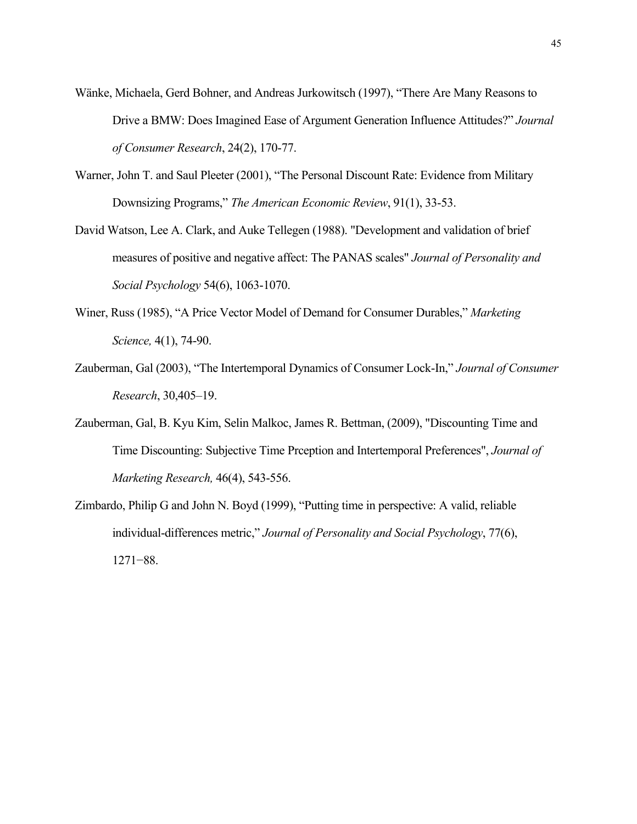- Wänke, Michaela, Gerd Bohner, and Andreas Jurkowitsch (1997), "There Are Many Reasons to Drive a BMW: Does Imagined Ease of Argument Generation Influence Attitudes?" *Journal of Consumer Research*, 24(2), 170-77.
- Warner, John T. and Saul Pleeter (2001), "The Personal Discount Rate: Evidence from Military Downsizing Programs," *The American Economic Review*, 91(1), 33-53.
- David Watson, Lee A. Clark, and Auke Tellegen (1988). "Development and validation of brief measures of positive and negative affect: The PANAS scales" *Journal of Personality and Social Psychology* 54(6), 1063-1070.
- Winer, Russ (1985), "A Price Vector Model of Demand for Consumer Durables," *Marketing Science,* 4(1), 74-90.
- Zauberman, Gal (2003), "The Intertemporal Dynamics of Consumer Lock-In," *Journal of Consumer Research*, 30,405–19.
- Zauberman, Gal, B. Kyu Kim, Selin Malkoc, James R. Bettman, (2009), "Discounting Time and Time Discounting: Subjective Time Prception and Intertemporal Preferences", *Journal of Marketing Research,* 46(4), 543-556.
- Zimbardo, Philip G and John N. Boyd (1999), "Putting time in perspective: A valid, reliable individual-differences metric," *Journal of Personality and Social Psychology*, 77(6), 1271−88.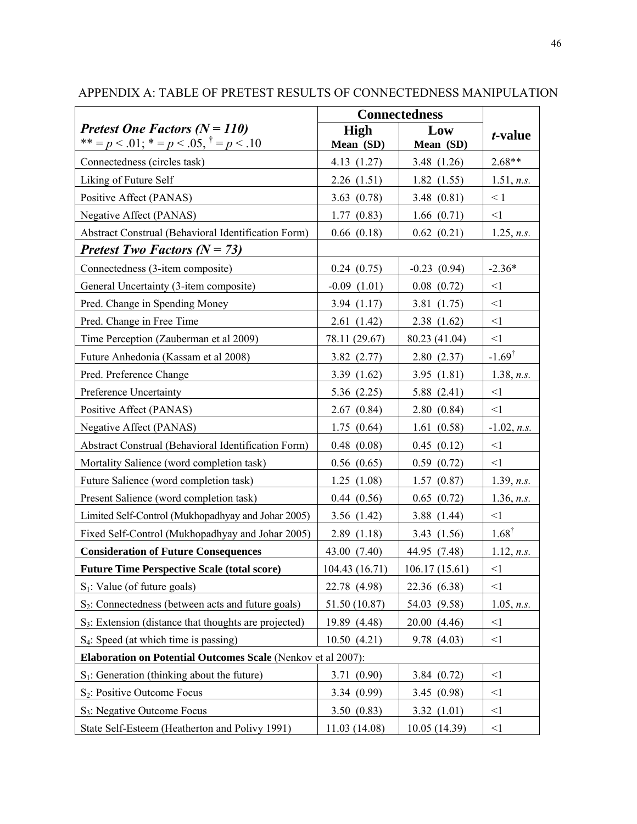|                                                                | <b>Connectedness</b> |                 |                       |
|----------------------------------------------------------------|----------------------|-----------------|-----------------------|
| Pretest One Factors $(N = 110)$                                | <b>High</b>          | Low             | <i>t</i> -value       |
| ** = $p < .01$ ; * = $p < .05$ , <sup>†</sup> = $p < .10$      | Mean (SD)            | Mean (SD)       |                       |
| Connectedness (circles task)                                   | 4.13(1.27)           | 3.48(1.26)      | $2.68**$              |
| Liking of Future Self                                          | 2.26(1.51)           | 1.82(1.55)      | 1.51, n.s.            |
| Positive Affect (PANAS)                                        | 3.63 $(0.78)$        | 3.48(0.81)      | $\leq 1$              |
| Negative Affect (PANAS)                                        | 1.77(0.83)           | 1.66(0.71)      | $\leq$ 1              |
| Abstract Construal (Behavioral Identification Form)            | 0.66(0.18)           | 0.62(0.21)      | 1.25, n.s.            |
| Pretest Two Factors ( $N = 73$ )                               |                      |                 |                       |
| Connectedness (3-item composite)                               | 0.24(0.75)           | $-0.23(0.94)$   | $-2.36*$              |
| General Uncertainty (3-item composite)                         | $-0.09(1.01)$        | $0.08$ $(0.72)$ | $\leq$ 1              |
| Pred. Change in Spending Money                                 | 3.94 $(1.17)$        | 3.81 (1.75)     | $\leq$ 1              |
| Pred. Change in Free Time                                      | 2.61(1.42)           | 2.38(1.62)      | <1                    |
| Time Perception (Zauberman et al 2009)                         | 78.11 (29.67)        | 80.23 (41.04)   | <1                    |
| Future Anhedonia (Kassam et al 2008)                           | 3.82(2.77)           | 2.80(2.37)      | $-1.69^{\dagger}$     |
| Pred. Preference Change                                        | 3.39 $(1.62)$        | 3.95 $(1.81)$   | 1.38, n.s.            |
| Preference Uncertainty                                         | 5.36(2.25)           | 5.88 (2.41)     | $\leq$ 1              |
| Positive Affect (PANAS)                                        | 2.67(0.84)           | 2.80(0.84)      | $\leq$ 1              |
| Negative Affect (PANAS)                                        | 1.75(0.64)           | 1.61(0.58)      | $-1.02$ , <i>n.s.</i> |
| Abstract Construal (Behavioral Identification Form)            | 0.48(0.08)           | 0.45(0.12)      | $\leq$ 1              |
| Mortality Salience (word completion task)                      | 0.56(0.65)           | 0.59(0.72)      | $\leq$ 1              |
| Future Salience (word completion task)                         | 1.25(1.08)           | 1.57(0.87)      | 1.39, n.s.            |
| Present Salience (word completion task)                        | 0.44(0.56)           | 0.65(0.72)      | 1.36, n.s.            |
| Limited Self-Control (Mukhopadhyay and Johar 2005)             | 3.56(1.42)           | 3.88 (1.44)     | $<$ 1                 |
| Fixed Self-Control (Mukhopadhyay and Johar 2005)               | 2.89(1.18)           | 3.43(1.56)      | $1.68^{\dagger}$      |
| <b>Consideration of Future Consequences</b>                    | 43.00 (7.40)         | 44.95 (7.48)    | 1.12, n.s.            |
| <b>Future Time Perspective Scale (total score)</b>             | 104.43 (16.71)       | 106.17(15.61)   | $\leq$ 1              |
| $S_1$ : Value (of future goals)                                | 22.78 (4.98)         | 22.36 (6.38)    | $\leq$ 1              |
| S <sub>2</sub> : Connectedness (between acts and future goals) | 51.50 (10.87)        | 54.03 (9.58)    | 1.05, n.s.            |
| $S_3$ : Extension (distance that thoughts are projected)       | 19.89 (4.48)         | 20.00 (4.46)    | $<$ 1                 |
| $S_4$ : Speed (at which time is passing)                       | 10.50(4.21)          | 9.78 (4.03)     | $<$ l                 |
| Elaboration on Potential Outcomes Scale (Nenkov et al 2007):   |                      |                 |                       |
| $S_1$ : Generation (thinking about the future)                 | 3.71(0.90)           | 3.84(0.72)      | $\leq$ 1              |
| S <sub>2</sub> : Positive Outcome Focus                        | 3.34(0.99)           | 3.45(0.98)      | $<$ l                 |
| S <sub>3</sub> : Negative Outcome Focus                        | 3.50(0.83)           | 3.32 $(1.01)$   | $<$ l                 |
| State Self-Esteem (Heatherton and Polivy 1991)                 | 11.03 (14.08)        | 10.05 (14.39)   | $\leq$ 1              |

APPENDIX A: TABLE OF PRETEST RESULTS OF CONNECTEDNESS MANIPULATION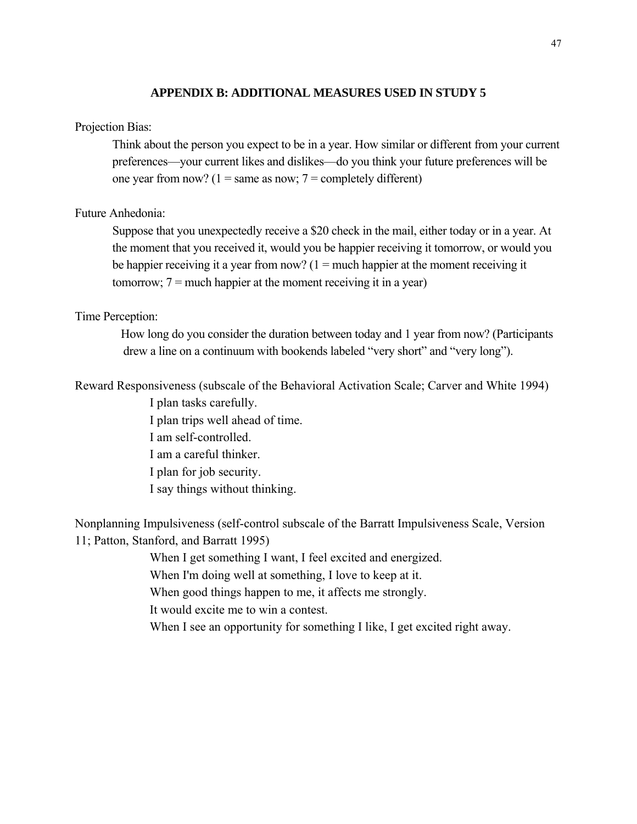### **APPENDIX B: ADDITIONAL MEASURES USED IN STUDY 5**

#### Projection Bias:

Think about the person you expect to be in a year. How similar or different from your current preferences—your current likes and dislikes—do you think your future preferences will be one year from now? ( $1 =$  same as now;  $7 =$  completely different)

# Future Anhedonia:

Suppose that you unexpectedly receive a \$20 check in the mail, either today or in a year. At the moment that you received it, would you be happier receiving it tomorrow, or would you be happier receiving it a year from now?  $(1 = \text{much happen at the moment receiving it})$ tomorrow;  $7 =$  much happier at the moment receiving it in a year)

# Time Perception:

How long do you consider the duration between today and 1 year from now? (Participants drew a line on a continuum with bookends labeled "very short" and "very long").

Reward Responsiveness (subscale of the Behavioral Activation Scale; Carver and White 1994)

I plan tasks carefully.

I plan trips well ahead of time.

I am self-controlled.

I am a careful thinker.

I plan for job security.

I say things without thinking.

Nonplanning Impulsiveness (self-control subscale of the Barratt Impulsiveness Scale, Version 11; Patton, Stanford, and Barratt 1995)

When I get something I want, I feel excited and energized.

When I'm doing well at something, I love to keep at it.

When good things happen to me, it affects me strongly.

It would excite me to win a contest.

When I see an opportunity for something I like, I get excited right away.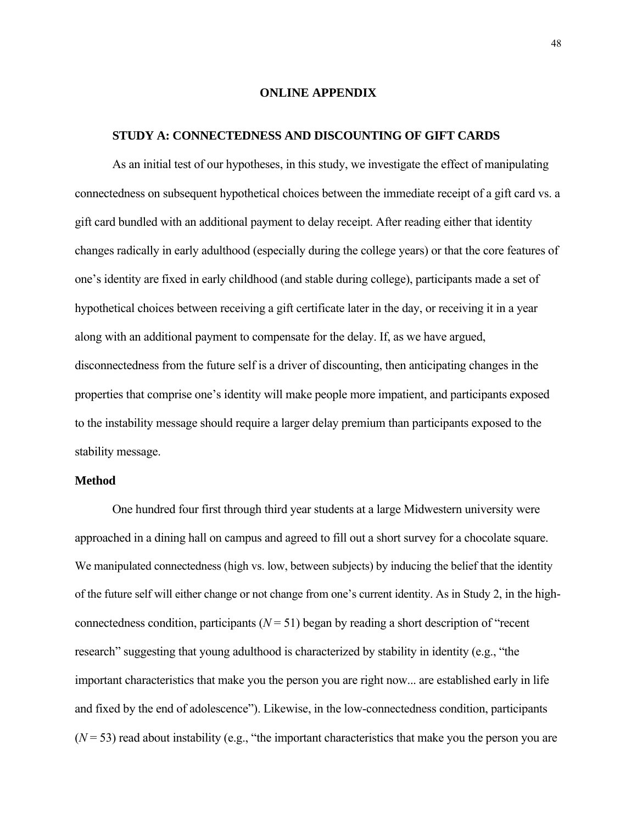#### **ONLINE APPENDIX**

#### **STUDY A: CONNECTEDNESS AND DISCOUNTING OF GIFT CARDS**

As an initial test of our hypotheses, in this study, we investigate the effect of manipulating connectedness on subsequent hypothetical choices between the immediate receipt of a gift card vs. a gift card bundled with an additional payment to delay receipt. After reading either that identity changes radically in early adulthood (especially during the college years) or that the core features of one's identity are fixed in early childhood (and stable during college), participants made a set of hypothetical choices between receiving a gift certificate later in the day, or receiving it in a year along with an additional payment to compensate for the delay. If, as we have argued, disconnectedness from the future self is a driver of discounting, then anticipating changes in the properties that comprise one's identity will make people more impatient, and participants exposed to the instability message should require a larger delay premium than participants exposed to the stability message.

## **Method**

One hundred four first through third year students at a large Midwestern university were approached in a dining hall on campus and agreed to fill out a short survey for a chocolate square. We manipulated connectedness (high vs. low, between subjects) by inducing the belief that the identity of the future self will either change or not change from one's current identity. As in Study 2, in the highconnectedness condition, participants  $(N = 51)$  began by reading a short description of "recent" research" suggesting that young adulthood is characterized by stability in identity (e.g., "the important characteristics that make you the person you are right now... are established early in life and fixed by the end of adolescence"). Likewise, in the low-connectedness condition, participants  $(N = 53)$  read about instability (e.g., "the important characteristics that make you the person you are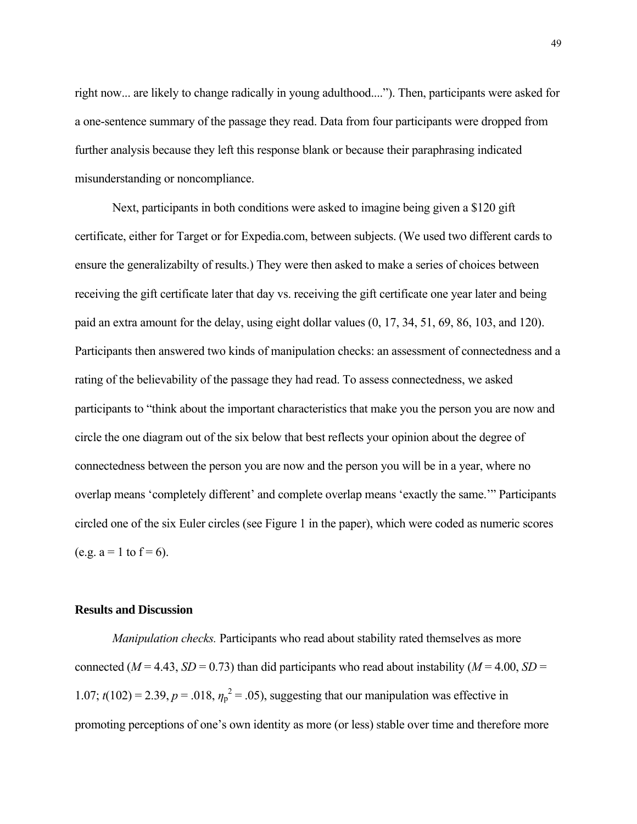right now... are likely to change radically in young adulthood...."). Then, participants were asked for a one-sentence summary of the passage they read. Data from four participants were dropped from further analysis because they left this response blank or because their paraphrasing indicated misunderstanding or noncompliance.

Next, participants in both conditions were asked to imagine being given a \$120 gift certificate, either for Target or for Expedia.com, between subjects. (We used two different cards to ensure the generalizabilty of results.) They were then asked to make a series of choices between receiving the gift certificate later that day vs. receiving the gift certificate one year later and being paid an extra amount for the delay, using eight dollar values (0, 17, 34, 51, 69, 86, 103, and 120). Participants then answered two kinds of manipulation checks: an assessment of connectedness and a rating of the believability of the passage they had read. To assess connectedness, we asked participants to "think about the important characteristics that make you the person you are now and circle the one diagram out of the six below that best reflects your opinion about the degree of connectedness between the person you are now and the person you will be in a year, where no overlap means 'completely different' and complete overlap means 'exactly the same.'" Participants circled one of the six Euler circles (see Figure 1 in the paper), which were coded as numeric scores  $(e.g. a = 1 to f = 6).$ 

#### **Results and Discussion**

*Manipulation checks.* Participants who read about stability rated themselves as more connected ( $M = 4.43$ ,  $SD = 0.73$ ) than did participants who read about instability ( $M = 4.00$ ,  $SD =$ 1.07;  $t(102) = 2.39$ ,  $p = .018$ ,  $\eta_p^2 = .05$ ), suggesting that our manipulation was effective in promoting perceptions of one's own identity as more (or less) stable over time and therefore more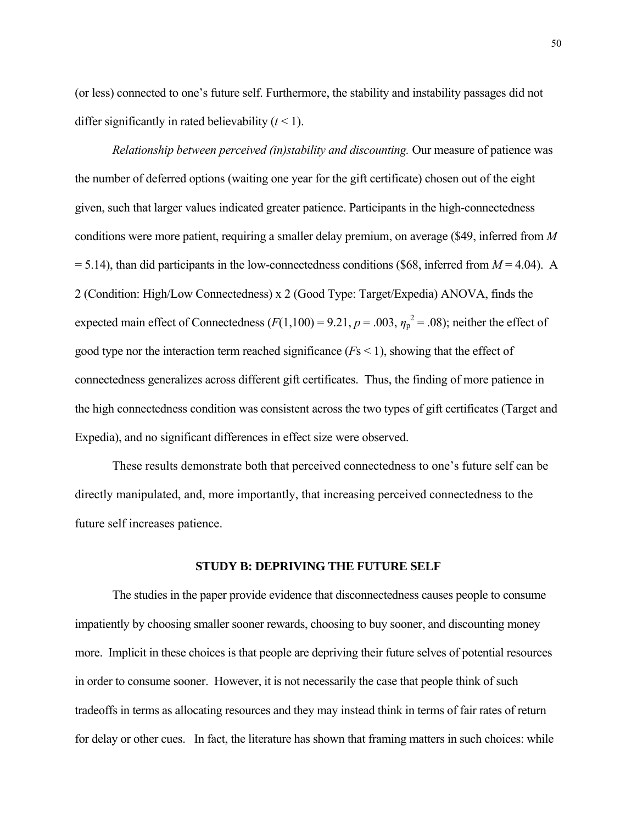(or less) connected to one's future self. Furthermore, the stability and instability passages did not differ significantly in rated believability  $(t < 1)$ .

*Relationship between perceived (in)stability and discounting.* Our measure of patience was the number of deferred options (waiting one year for the gift certificate) chosen out of the eight given, such that larger values indicated greater patience. Participants in the high-connectedness conditions were more patient, requiring a smaller delay premium, on average (\$49, inferred from *M*  $= 5.14$ ), than did participants in the low-connectedness conditions (\$68, inferred from  $M = 4.04$ ). A 2 (Condition: High/Low Connectedness) x 2 (Good Type: Target/Expedia) ANOVA, finds the expected main effect of Connectedness ( $F(1,100) = 9.21$ ,  $p = .003$ ,  $\eta_p^2 = .08$ ); neither the effect of good type nor the interaction term reached significance (*F*s < 1), showing that the effect of connectedness generalizes across different gift certificates. Thus, the finding of more patience in the high connectedness condition was consistent across the two types of gift certificates (Target and Expedia), and no significant differences in effect size were observed.

These results demonstrate both that perceived connectedness to one's future self can be directly manipulated, and, more importantly, that increasing perceived connectedness to the future self increases patience.

#### **STUDY B: DEPRIVING THE FUTURE SELF**

The studies in the paper provide evidence that disconnectedness causes people to consume impatiently by choosing smaller sooner rewards, choosing to buy sooner, and discounting money more. Implicit in these choices is that people are depriving their future selves of potential resources in order to consume sooner. However, it is not necessarily the case that people think of such tradeoffs in terms as allocating resources and they may instead think in terms of fair rates of return for delay or other cues. In fact, the literature has shown that framing matters in such choices: while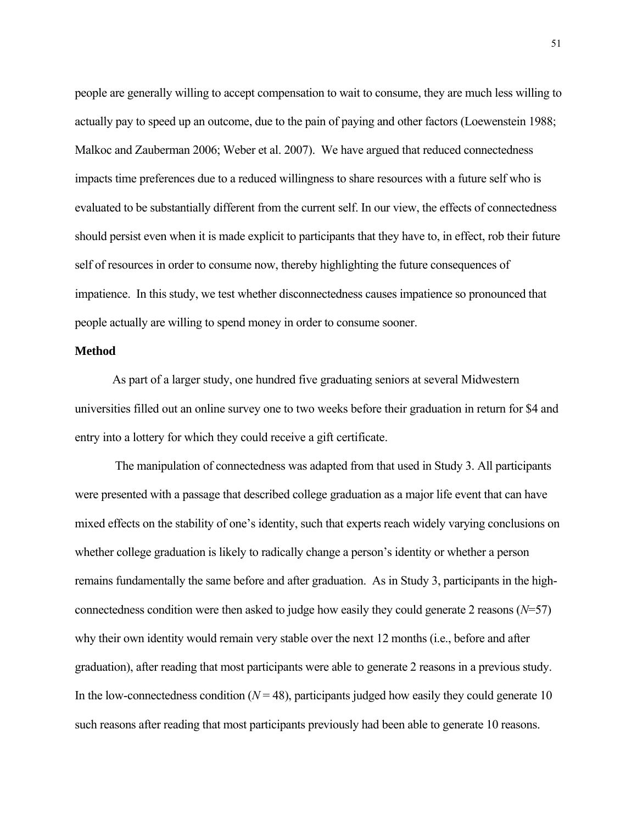people are generally willing to accept compensation to wait to consume, they are much less willing to actually pay to speed up an outcome, due to the pain of paying and other factors (Loewenstein 1988; Malkoc and Zauberman 2006; Weber et al. 2007). We have argued that reduced connectedness impacts time preferences due to a reduced willingness to share resources with a future self who is evaluated to be substantially different from the current self. In our view, the effects of connectedness should persist even when it is made explicit to participants that they have to, in effect, rob their future self of resources in order to consume now, thereby highlighting the future consequences of impatience. In this study, we test whether disconnectedness causes impatience so pronounced that people actually are willing to spend money in order to consume sooner.

#### **Method**

As part of a larger study, one hundred five graduating seniors at several Midwestern universities filled out an online survey one to two weeks before their graduation in return for \$4 and entry into a lottery for which they could receive a gift certificate.

The manipulation of connectedness was adapted from that used in Study 3. All participants were presented with a passage that described college graduation as a major life event that can have mixed effects on the stability of one's identity, such that experts reach widely varying conclusions on whether college graduation is likely to radically change a person's identity or whether a person remains fundamentally the same before and after graduation. As in Study 3, participants in the highconnectedness condition were then asked to judge how easily they could generate 2 reasons (*N*=57) why their own identity would remain very stable over the next 12 months (i.e., before and after graduation), after reading that most participants were able to generate 2 reasons in a previous study. In the low-connectedness condition  $(N = 48)$ , participants judged how easily they could generate 10 such reasons after reading that most participants previously had been able to generate 10 reasons.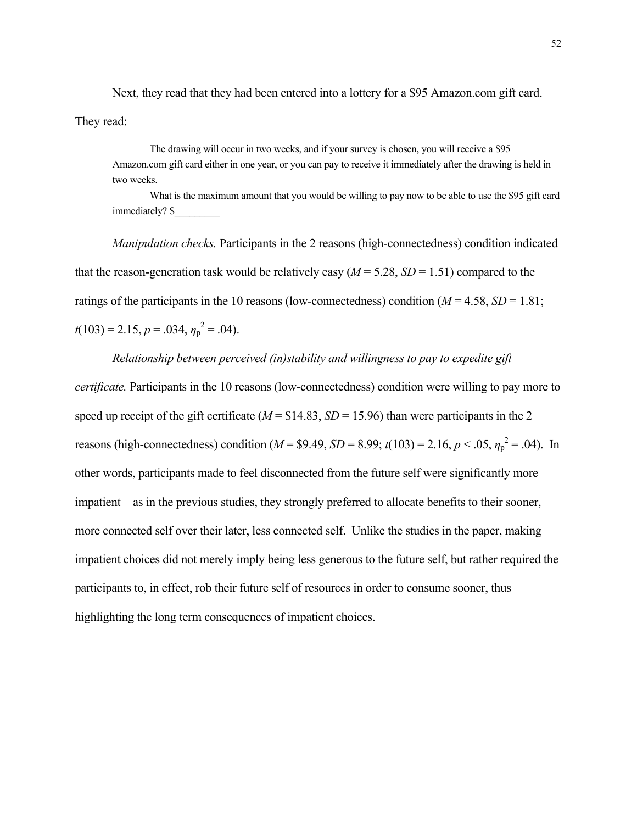Next, they read that they had been entered into a lottery for a \$95 Amazon.com gift card. They read:

The drawing will occur in two weeks, and if your survey is chosen, you will receive a \$95 Amazon.com gift card either in one year, or you can pay to receive it immediately after the drawing is held in two weeks.

What is the maximum amount that you would be willing to pay now to be able to use the \$95 gift card immediately? \$

*Manipulation checks.* Participants in the 2 reasons (high-connectedness) condition indicated that the reason-generation task would be relatively easy  $(M = 5.28, SD = 1.51)$  compared to the ratings of the participants in the 10 reasons (low-connectedness) condition  $(M = 4.58, SD = 1.81;$  $t(103) = 2.15, p = .034, \eta_p^2 = .04$ .

#### *Relationship between perceived (in)stability and willingness to pay to expedite gift*

*certificate.* Participants in the 10 reasons (low-connectedness) condition were willing to pay more to speed up receipt of the gift certificate ( $M = $14.83$ ,  $SD = 15.96$ ) than were participants in the 2 reasons (high-connectedness) condition ( $M = $9.49$ ,  $SD = 8.99$ ;  $t(103) = 2.16$ ,  $p < .05$ ,  $\eta_p^2 = .04$ ). In other words, participants made to feel disconnected from the future self were significantly more impatient—as in the previous studies, they strongly preferred to allocate benefits to their sooner, more connected self over their later, less connected self. Unlike the studies in the paper, making impatient choices did not merely imply being less generous to the future self, but rather required the participants to, in effect, rob their future self of resources in order to consume sooner, thus highlighting the long term consequences of impatient choices.